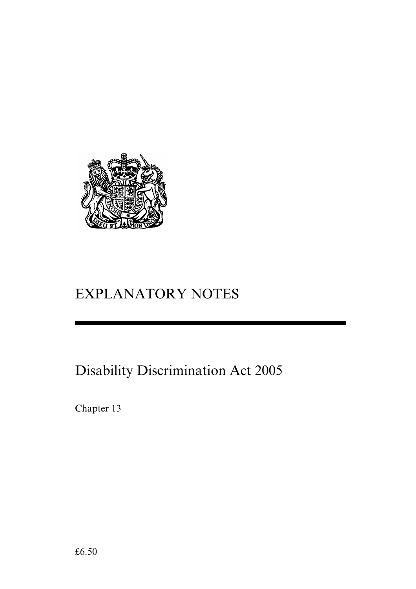

# EXPLANATORY NOTES

# Disability Discrimination Act 2005

Chapter 13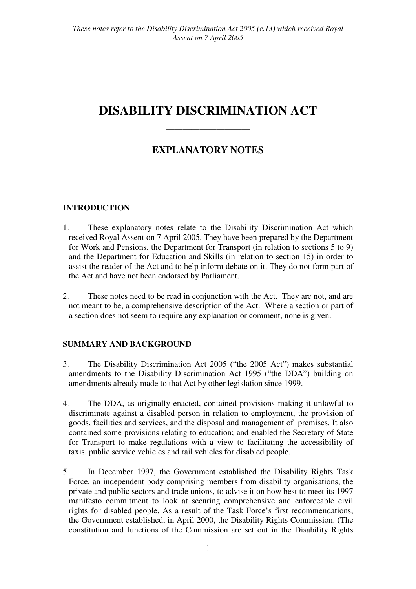## **DISABILITY DISCRIMINATION ACT**

## **EXPLANATORY NOTES**

——————————

## **INTRODUCTION**

- 1. These explanatory notes relate to the Disability Discrimination Act which received Royal Assent on 7 April 2005. They have been prepared by the Department for Work and Pensions, the Department for Transport (in relation to sections 5 to 9) and the Department for Education and Skills (in relation to section 15) in order to assist the reader of the Act and to help inform debate on it. They do not form part of the Act and have not been endorsed by Parliament.
- 2. These notes need to be read in conjunction with the Act. They are not, and are not meant to be, a comprehensive description of the Act. Where a section or part of a section does not seem to require any explanation or comment, none is given.

## **SUMMARY AND BACKGROUND**

- 3. The Disability Discrimination Act 2005 ("the 2005 Act") makes substantial amendments to the Disability Discrimination Act 1995 ("the DDA") building on amendments already made to that Act by other legislation since 1999.
- 4. The DDA, as originally enacted, contained provisions making it unlawful to discriminate against a disabled person in relation to employment, the provision of goods, facilities and services, and the disposal and management of premises. It also contained some provisions relating to education; and enabled the Secretary of State for Transport to make regulations with a view to facilitating the accessibility of taxis, public service vehicles and rail vehicles for disabled people.
- 5. In December 1997, the Government established the Disability Rights Task Force, an independent body comprising members from disability organisations, the private and public sectors and trade unions, to advise it on how best to meet its 1997 manifesto commitment to look at securing comprehensive and enforceable civil rights for disabled people. As a result of the Task Force's first recommendations, the Government established, in April 2000, the Disability Rights Commission. (The constitution and functions of the Commission are set out in the Disability Rights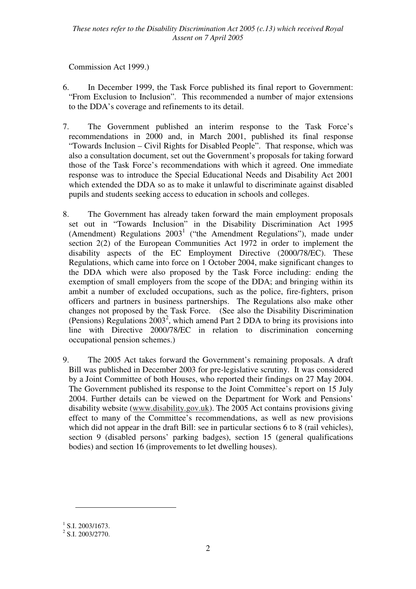Commission Act 1999.)

- 6. In December 1999, the Task Force published its final report to Government: "From Exclusion to Inclusion". This recommended a number of major extensions to the DDA's coverage and refinements to its detail.
- 7. The Government published an interim response to the Task Force's recommendations in 2000 and, in March 2001, published its final response "Towards Inclusion – Civil Rights for Disabled People". That response, which was also a consultation document, set out the Government's proposals for taking forward those of the Task Force's recommendations with which it agreed. One immediate response was to introduce the Special Educational Needs and Disability Act 2001 which extended the DDA so as to make it unlawful to discriminate against disabled pupils and students seeking access to education in schools and colleges.
- 8. The Government has already taken forward the main employment proposals set out in "Towards Inclusion" in the Disability Discrimination Act 1995 (Amendment) Regulations  $2003<sup>1</sup>$  ("the Amendment Regulations"), made under section 2(2) of the European Communities Act 1972 in order to implement the disability aspects of the EC Employment Directive (2000/78/EC). These Regulations, which came into force on 1 October 2004, make significant changes to the DDA which were also proposed by the Task Force including: ending the exemption of small employers from the scope of the DDA; and bringing within its ambit a number of excluded occupations, such as the police, fire-fighters, prison officers and partners in business partnerships. The Regulations also make other changes not proposed by the Task Force. (See also the Disability Discrimination (Pensions) Regulations  $2003^2$ , which amend Part 2 DDA to bring its provisions into line with Directive 2000/78/EC in relation to discrimination concerning occupational pension schemes.)
- 9. The 2005 Act takes forward the Government's remaining proposals. A draft Bill was published in December 2003 for pre-legislative scrutiny. It was considered by a Joint Committee of both Houses, who reported their findings on 27 May 2004. The Government published its response to the Joint Committee's report on 15 July 2004. Further details can be viewed on the Department for Work and Pensions' disability website (www.disability.gov.uk). The 2005 Act contains provisions giving effect to many of the Committee's recommendations, as well as new provisions which did not appear in the draft Bill: see in particular sections 6 to 8 (rail vehicles), section 9 (disabled persons' parking badges), section 15 (general qualifications bodies) and section 16 (improvements to let dwelling houses).

 $\overline{a}$ 

 $^{1}$  S.I. 2003/1673.

 $2$  S.I. 2003/2770.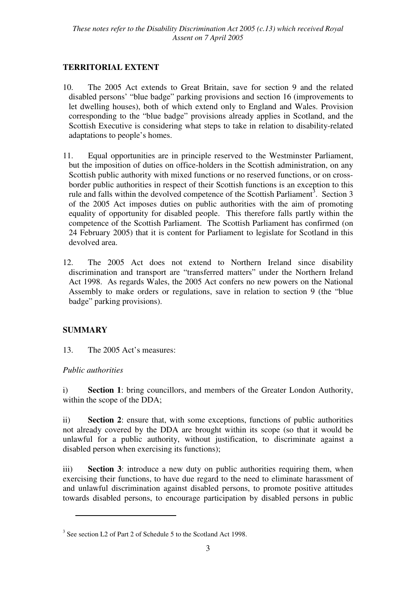## **TERRITORIAL EXTENT**

- 10. The 2005 Act extends to Great Britain, save for section 9 and the related disabled persons' "blue badge" parking provisions and section 16 (improvements to let dwelling houses), both of which extend only to England and Wales. Provision corresponding to the "blue badge" provisions already applies in Scotland, and the Scottish Executive is considering what steps to take in relation to disability-related adaptations to people's homes.
- 11. Equal opportunities are in principle reserved to the Westminster Parliament, but the imposition of duties on office-holders in the Scottish administration, on any Scottish public authority with mixed functions or no reserved functions, or on crossborder public authorities in respect of their Scottish functions is an exception to this rule and falls within the devolved competence of the Scottish Parliament<sup>3</sup>. Section 3 of the 2005 Act imposes duties on public authorities with the aim of promoting equality of opportunity for disabled people. This therefore falls partly within the competence of the Scottish Parliament. The Scottish Parliament has confirmed (on 24 February 2005) that it is content for Parliament to legislate for Scotland in this devolved area.
- 12. The 2005 Act does not extend to Northern Ireland since disability discrimination and transport are "transferred matters" under the Northern Ireland Act 1998. As regards Wales, the 2005 Act confers no new powers on the National Assembly to make orders or regulations, save in relation to section 9 (the "blue badge" parking provisions).

## **SUMMARY**

13. The 2005 Act's measures:

## *Public authorities*

 $\overline{a}$ 

i) **Section 1**: bring councillors, and members of the Greater London Authority, within the scope of the DDA;

ii) **Section 2**: ensure that, with some exceptions, functions of public authorities not already covered by the DDA are brought within its scope (so that it would be unlawful for a public authority, without justification, to discriminate against a disabled person when exercising its functions);

iii) **Section 3**: introduce a new duty on public authorities requiring them, when exercising their functions, to have due regard to the need to eliminate harassment of and unlawful discrimination against disabled persons, to promote positive attitudes towards disabled persons, to encourage participation by disabled persons in public

<sup>&</sup>lt;sup>3</sup> See section L2 of Part 2 of Schedule 5 to the Scotland Act 1998.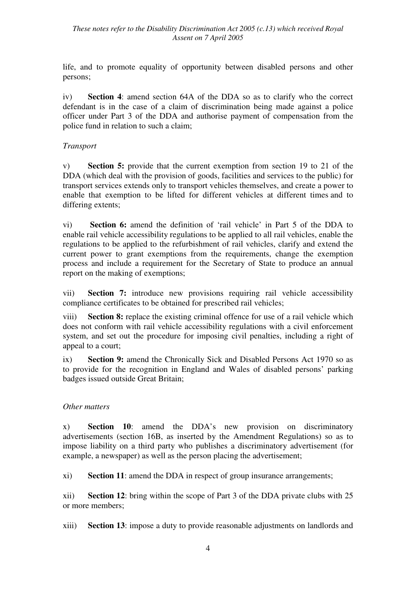life, and to promote equality of opportunity between disabled persons and other persons;

iv) **Section 4**: amend section 64A of the DDA so as to clarify who the correct defendant is in the case of a claim of discrimination being made against a police officer under Part 3 of the DDA and authorise payment of compensation from the police fund in relation to such a claim;

## *Transport*

v) **Section 5:** provide that the current exemption from section 19 to 21 of the DDA (which deal with the provision of goods, facilities and services to the public) for transport services extends only to transport vehicles themselves, and create a power to enable that exemption to be lifted for different vehicles at different times and to differing extents;

vi) **Section 6:** amend the definition of 'rail vehicle' in Part 5 of the DDA to enable rail vehicle accessibility regulations to be applied to all rail vehicles, enable the regulations to be applied to the refurbishment of rail vehicles, clarify and extend the current power to grant exemptions from the requirements, change the exemption process and include a requirement for the Secretary of State to produce an annual report on the making of exemptions;

vii) **Section 7:** introduce new provisions requiring rail vehicle accessibility compliance certificates to be obtained for prescribed rail vehicles;

viii) **Section 8:** replace the existing criminal offence for use of a rail vehicle which does not conform with rail vehicle accessibility regulations with a civil enforcement system, and set out the procedure for imposing civil penalties, including a right of appeal to a court;

ix) **Section 9:** amend the Chronically Sick and Disabled Persons Act 1970 so as to provide for the recognition in England and Wales of disabled persons' parking badges issued outside Great Britain;

## *Other matters*

x) **Section 10**: amend the DDA's new provision on discriminatory advertisements (section 16B, as inserted by the Amendment Regulations) so as to impose liability on a third party who publishes a discriminatory advertisement (for example, a newspaper) as well as the person placing the advertisement;

xi) **Section 11**: amend the DDA in respect of group insurance arrangements;

xii) **Section 12**: bring within the scope of Part 3 of the DDA private clubs with 25 or more members;

xiii) **Section 13**: impose a duty to provide reasonable adjustments on landlords and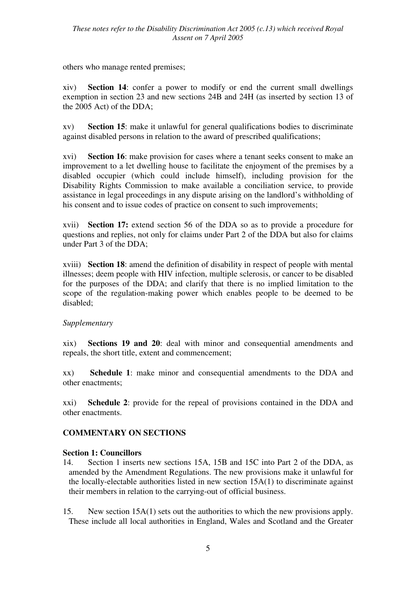others who manage rented premises;

xiv) **Section 14**: confer a power to modify or end the current small dwellings exemption in section 23 and new sections 24B and 24H (as inserted by section 13 of the 2005 Act) of the DDA;

xv) **Section 15**: make it unlawful for general qualifications bodies to discriminate against disabled persons in relation to the award of prescribed qualifications;

xvi) **Section 16**: make provision for cases where a tenant seeks consent to make an improvement to a let dwelling house to facilitate the enjoyment of the premises by a disabled occupier (which could include himself), including provision for the Disability Rights Commission to make available a conciliation service, to provide assistance in legal proceedings in any dispute arising on the landlord's withholding of his consent and to issue codes of practice on consent to such improvements;

xvii) **Section 17:** extend section 56 of the DDA so as to provide a procedure for questions and replies, not only for claims under Part 2 of the DDA but also for claims under Part 3 of the DDA;

xviii) **Section 18**: amend the definition of disability in respect of people with mental illnesses; deem people with HIV infection, multiple sclerosis, or cancer to be disabled for the purposes of the DDA; and clarify that there is no implied limitation to the scope of the regulation-making power which enables people to be deemed to be disabled;

## *Supplementary*

xix) **Sections 19 and 20**: deal with minor and consequential amendments and repeals, the short title, extent and commencement;

xx) **Schedule 1**: make minor and consequential amendments to the DDA and other enactments;

xxi) **Schedule 2**: provide for the repeal of provisions contained in the DDA and other enactments.

## **COMMENTARY ON SECTIONS**

#### **Section 1: Councillors**

- 14. Section 1 inserts new sections 15A, 15B and 15C into Part 2 of the DDA, as amended by the Amendment Regulations. The new provisions make it unlawful for the locally-electable authorities listed in new section 15A(1) to discriminate against their members in relation to the carrying-out of official business.
- 15. New section 15A(1) sets out the authorities to which the new provisions apply. These include all local authorities in England, Wales and Scotland and the Greater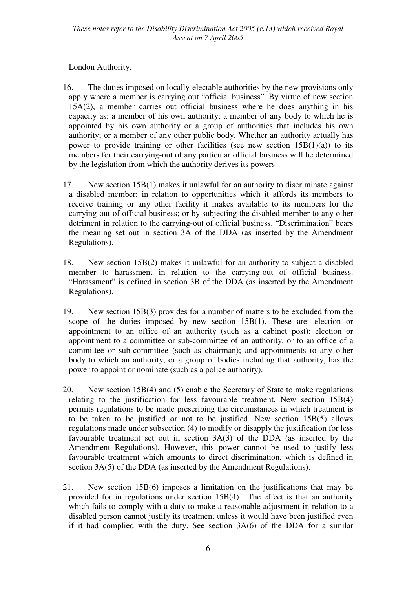London Authority.

- 16. The duties imposed on locally-electable authorities by the new provisions only apply where a member is carrying out "official business". By virtue of new section 15A(2), a member carries out official business where he does anything in his capacity as: a member of his own authority; a member of any body to which he is appointed by his own authority or a group of authorities that includes his own authority; or a member of any other public body. Whether an authority actually has power to provide training or other facilities (see new section  $15B(1)(a)$ ) to its members for their carrying-out of any particular official business will be determined by the legislation from which the authority derives its powers.
- 17. New section 15B(1) makes it unlawful for an authority to discriminate against a disabled member: in relation to opportunities which it affords its members to receive training or any other facility it makes available to its members for the carrying-out of official business; or by subjecting the disabled member to any other detriment in relation to the carrying-out of official business. "Discrimination" bears the meaning set out in section 3A of the DDA (as inserted by the Amendment Regulations).
- 18. New section 15B(2) makes it unlawful for an authority to subject a disabled member to harassment in relation to the carrying-out of official business. "Harassment" is defined in section 3B of the DDA (as inserted by the Amendment Regulations).
- 19. New section 15B(3) provides for a number of matters to be excluded from the scope of the duties imposed by new section 15B(1). These are: election or appointment to an office of an authority (such as a cabinet post); election or appointment to a committee or sub-committee of an authority, or to an office of a committee or sub-committee (such as chairman); and appointments to any other body to which an authority, or a group of bodies including that authority, has the power to appoint or nominate (such as a police authority).
- 20. New section 15B(4) and (5) enable the Secretary of State to make regulations relating to the justification for less favourable treatment. New section 15B(4) permits regulations to be made prescribing the circumstances in which treatment is to be taken to be justified or not to be justified. New section 15B(5) allows regulations made under subsection (4) to modify or disapply the justification for less favourable treatment set out in section 3A(3) of the DDA (as inserted by the Amendment Regulations). However, this power cannot be used to justify less favourable treatment which amounts to direct discrimination, which is defined in section 3A(5) of the DDA (as inserted by the Amendment Regulations).
- 21. New section 15B(6) imposes a limitation on the justifications that may be provided for in regulations under section 15B(4). The effect is that an authority which fails to comply with a duty to make a reasonable adjustment in relation to a disabled person cannot justify its treatment unless it would have been justified even if it had complied with the duty. See section 3A(6) of the DDA for a similar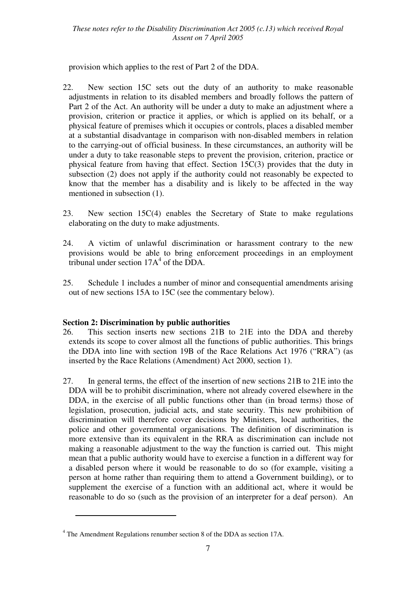provision which applies to the rest of Part 2 of the DDA.

- 22. New section 15C sets out the duty of an authority to make reasonable adjustments in relation to its disabled members and broadly follows the pattern of Part 2 of the Act. An authority will be under a duty to make an adjustment where a provision, criterion or practice it applies, or which is applied on its behalf, or a physical feature of premises which it occupies or controls, places a disabled member at a substantial disadvantage in comparison with non-disabled members in relation to the carrying-out of official business. In these circumstances, an authority will be under a duty to take reasonable steps to prevent the provision, criterion, practice or physical feature from having that effect. Section 15C(3) provides that the duty in subsection (2) does not apply if the authority could not reasonably be expected to know that the member has a disability and is likely to be affected in the way mentioned in subsection (1).
- 23. New section 15C(4) enables the Secretary of State to make regulations elaborating on the duty to make adjustments.
- 24. A victim of unlawful discrimination or harassment contrary to the new provisions would be able to bring enforcement proceedings in an employment tribunal under section  $17A<sup>4</sup>$  of the DDA.
- 25. Schedule 1 includes a number of minor and consequential amendments arising out of new sections 15A to 15C (see the commentary below).

## **Section 2: Discrimination by public authorities**

- 26. This section inserts new sections 21B to 21E into the DDA and thereby extends its scope to cover almost all the functions of public authorities. This brings the DDA into line with section 19B of the Race Relations Act 1976 ("RRA") (as inserted by the Race Relations (Amendment) Act 2000, section 1).
- 27. In general terms, the effect of the insertion of new sections 21B to 21E into the DDA will be to prohibit discrimination, where not already covered elsewhere in the DDA, in the exercise of all public functions other than (in broad terms) those of legislation, prosecution, judicial acts, and state security. This new prohibition of discrimination will therefore cover decisions by Ministers, local authorities, the police and other governmental organisations. The definition of discrimination is more extensive than its equivalent in the RRA as discrimination can include not making a reasonable adjustment to the way the function is carried out. This might mean that a public authority would have to exercise a function in a different way for a disabled person where it would be reasonable to do so (for example, visiting a person at home rather than requiring them to attend a Government building), or to supplement the exercise of a function with an additional act, where it would be reasonable to do so (such as the provision of an interpreter for a deaf person). An

 $\overline{a}$ 

<sup>&</sup>lt;sup>4</sup> The Amendment Regulations renumber section 8 of the DDA as section 17A.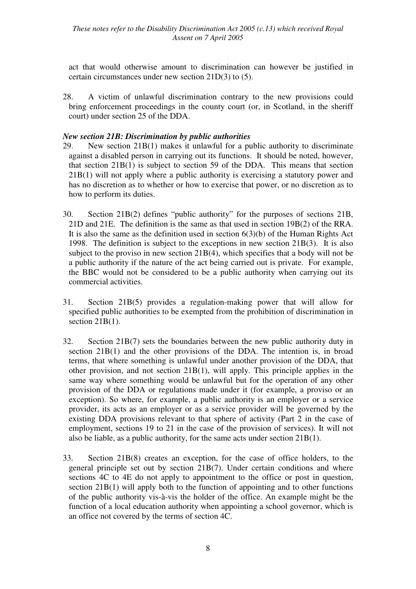act that would otherwise amount to discrimination can however be justified in certain circumstances under new section 21D(3) to (5).

28. A victim of unlawful discrimination contrary to the new provisions could bring enforcement proceedings in the county court (or, in Scotland, in the sheriff court) under section 25 of the DDA.

#### *New section 21B: Discrimination by public authorities*

- 29. New section 21B(1) makes it unlawful for a public authority to discriminate against a disabled person in carrying out its functions. It should be noted, however, that section 21B(1) is subject to section 59 of the DDA. This means that section 21B(1) will not apply where a public authority is exercising a statutory power and has no discretion as to whether or how to exercise that power, or no discretion as to how to perform its duties.
- 30. Section 21B(2) defines "public authority" for the purposes of sections 21B, 21D and 21E. The definition is the same as that used in section 19B(2) of the RRA. It is also the same as the definition used in section  $6(3)(b)$  of the Human Rights Act 1998. The definition is subject to the exceptions in new section 21B(3). It is also subject to the proviso in new section 21B(4), which specifies that a body will not be a public authority if the nature of the act being carried out is private. For example, the BBC would not be considered to be a public authority when carrying out its commercial activities.
- 31. Section 21B(5) provides a regulation-making power that will allow for specified public authorities to be exempted from the prohibition of discrimination in section 21B(1).
- 32. Section 21B(7) sets the boundaries between the new public authority duty in section  $21B(1)$  and the other provisions of the DDA. The intention is, in broad terms, that where something is unlawful under another provision of the DDA, that other provision, and not section 21B(1), will apply. This principle applies in the same way where something would be unlawful but for the operation of any other provision of the DDA or regulations made under it (for example, a proviso or an exception). So where, for example, a public authority is an employer or a service provider, its acts as an employer or as a service provider will be governed by the existing DDA provisions relevant to that sphere of activity (Part 2 in the case of employment, sections 19 to 21 in the case of the provision of services). It will not also be liable, as a public authority, for the same acts under section 21B(1).
- 33. Section 21B(8) creates an exception, for the case of office holders, to the general principle set out by section 21B(7). Under certain conditions and where sections 4C to 4E do not apply to appointment to the office or post in question, section 21B(1) will apply both to the function of appointing and to other functions of the public authority vis-à-vis the holder of the office. An example might be the function of a local education authority when appointing a school governor, which is an office not covered by the terms of section 4C.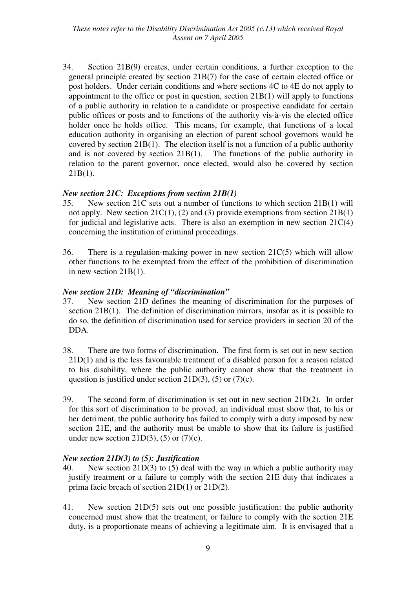34. Section 21B(9) creates, under certain conditions, a further exception to the general principle created by section 21B(7) for the case of certain elected office or post holders. Under certain conditions and where sections 4C to 4E do not apply to appointment to the office or post in question, section 21B(1) will apply to functions of a public authority in relation to a candidate or prospective candidate for certain public offices or posts and to functions of the authority vis-à-vis the elected office holder once he holds office. This means, for example, that functions of a local education authority in organising an election of parent school governors would be covered by section 21B(1). The election itself is not a function of a public authority and is not covered by section 21B(1). The functions of the public authority in relation to the parent governor, once elected, would also be covered by section 21B(1).

#### *New section 21C: Exceptions from section 21B(1)*

- 35. New section 21C sets out a number of functions to which section 21B(1) will not apply. New section 21C(1), (2) and (3) provide exemptions from section 21B(1) for judicial and legislative acts. There is also an exemption in new section 21C(4) concerning the institution of criminal proceedings.
- 36. There is a regulation-making power in new section 21C(5) which will allow other functions to be exempted from the effect of the prohibition of discrimination in new section 21B(1).

#### *New section 21D: Meaning of "discrimination"*

- 37. New section 21D defines the meaning of discrimination for the purposes of section 21B(1). The definition of discrimination mirrors, insofar as it is possible to do so, the definition of discrimination used for service providers in section 20 of the DDA.
- 38. There are two forms of discrimination. The first form is set out in new section 21D(1) and is the less favourable treatment of a disabled person for a reason related to his disability, where the public authority cannot show that the treatment in question is justified under section 21D(3), (5) or (7)(c).
- 39. The second form of discrimination is set out in new section 21D(2). In order for this sort of discrimination to be proved, an individual must show that, to his or her detriment, the public authority has failed to comply with a duty imposed by new section 21E, and the authority must be unable to show that its failure is justified under new section  $21D(3)$ , (5) or (7)(c).

#### *New section 21D(3) to (5): Justification*

- 40. New section 21D(3) to (5) deal with the way in which a public authority may justify treatment or a failure to comply with the section 21E duty that indicates a prima facie breach of section 21D(1) or 21D(2).
- 41. New section 21D(5) sets out one possible justification: the public authority concerned must show that the treatment, or failure to comply with the section 21E duty, is a proportionate means of achieving a legitimate aim. It is envisaged that a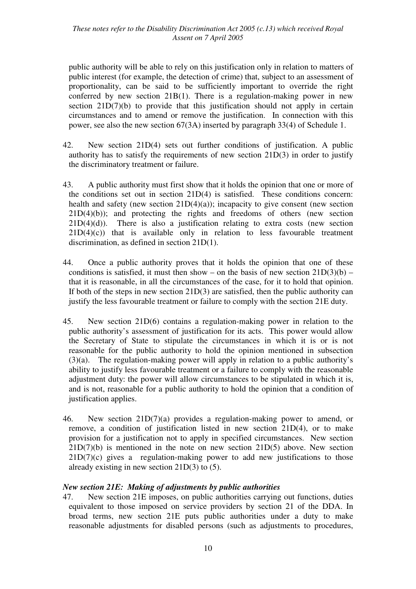public authority will be able to rely on this justification only in relation to matters of public interest (for example, the detection of crime) that, subject to an assessment of proportionality, can be said to be sufficiently important to override the right conferred by new section 21B(1). There is a regulation-making power in new section  $21D(7)(b)$  to provide that this justification should not apply in certain circumstances and to amend or remove the justification. In connection with this power, see also the new section 67(3A) inserted by paragraph 33(4) of Schedule 1.

- 42. New section 21D(4) sets out further conditions of justification. A public authority has to satisfy the requirements of new section 21D(3) in order to justify the discriminatory treatment or failure.
- 43. A public authority must first show that it holds the opinion that one or more of the conditions set out in section 21D(4) is satisfied. These conditions concern: health and safety (new section  $21D(4)(a)$ ); incapacity to give consent (new section  $21D(4)(b)$ ; and protecting the rights and freedoms of others (new section  $21D(4)(d)$ ). There is also a justification relating to extra costs (new section  $21D(4)(c)$  that is available only in relation to less favourable treatment discrimination, as defined in section 21D(1).
- 44. Once a public authority proves that it holds the opinion that one of these conditions is satisfied, it must then show – on the basis of new section  $21D(3)(b)$  – that it is reasonable, in all the circumstances of the case, for it to hold that opinion. If both of the steps in new section 21D(3) are satisfied, then the public authority can justify the less favourable treatment or failure to comply with the section 21E duty.
- 45. New section 21D(6) contains a regulation-making power in relation to the public authority's assessment of justification for its acts. This power would allow the Secretary of State to stipulate the circumstances in which it is or is not reasonable for the public authority to hold the opinion mentioned in subsection (3)(a). The regulation-making power will apply in relation to a public authority's ability to justify less favourable treatment or a failure to comply with the reasonable adjustment duty: the power will allow circumstances to be stipulated in which it is, and is not, reasonable for a public authority to hold the opinion that a condition of justification applies.
- 46. New section 21D(7)(a) provides a regulation-making power to amend, or remove, a condition of justification listed in new section 21D(4), or to make provision for a justification not to apply in specified circumstances. New section  $21D(7)(b)$  is mentioned in the note on new section  $21D(5)$  above. New section  $21D(7)(c)$  gives a regulation-making power to add new justifications to those already existing in new section 21D(3) to (5).

#### *New section 21E: Making of adjustments by public authorities*

47. New section 21E imposes, on public authorities carrying out functions, duties equivalent to those imposed on service providers by section 21 of the DDA. In broad terms, new section 21E puts public authorities under a duty to make reasonable adjustments for disabled persons (such as adjustments to procedures,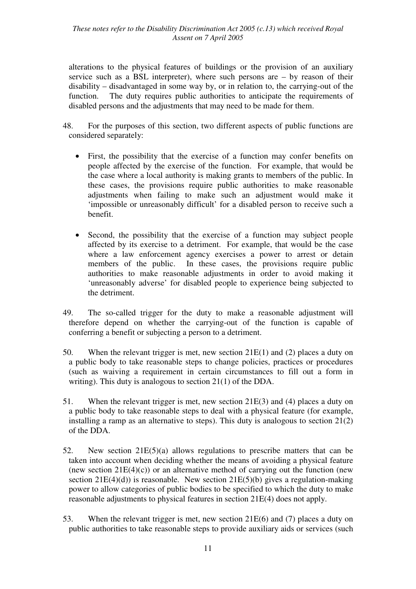alterations to the physical features of buildings or the provision of an auxiliary service such as a BSL interpreter), where such persons are – by reason of their disability – disadvantaged in some way by, or in relation to, the carrying-out of the function. The duty requires public authorities to anticipate the requirements of disabled persons and the adjustments that may need to be made for them.

- 48. For the purposes of this section, two different aspects of public functions are considered separately:
	- First, the possibility that the exercise of a function may confer benefits on people affected by the exercise of the function. For example, that would be the case where a local authority is making grants to members of the public. In these cases, the provisions require public authorities to make reasonable adjustments when failing to make such an adjustment would make it 'impossible or unreasonably difficult' for a disabled person to receive such a benefit.
	- Second, the possibility that the exercise of a function may subject people affected by its exercise to a detriment. For example, that would be the case where a law enforcement agency exercises a power to arrest or detain members of the public. In these cases, the provisions require public authorities to make reasonable adjustments in order to avoid making it 'unreasonably adverse' for disabled people to experience being subjected to the detriment.
- 49. The so-called trigger for the duty to make a reasonable adjustment will therefore depend on whether the carrying-out of the function is capable of conferring a benefit or subjecting a person to a detriment.
- 50. When the relevant trigger is met, new section 21E(1) and (2) places a duty on a public body to take reasonable steps to change policies, practices or procedures (such as waiving a requirement in certain circumstances to fill out a form in writing). This duty is analogous to section 21(1) of the DDA.
- 51. When the relevant trigger is met, new section 21E(3) and (4) places a duty on a public body to take reasonable steps to deal with a physical feature (for example, installing a ramp as an alternative to steps). This duty is analogous to section 21(2) of the DDA.
- 52. New section 21E(5)(a) allows regulations to prescribe matters that can be taken into account when deciding whether the means of avoiding a physical feature (new section  $21E(4)(c)$ ) or an alternative method of carrying out the function (new section  $21E(4)(d)$ ) is reasonable. New section  $21E(5)(b)$  gives a regulation-making power to allow categories of public bodies to be specified to which the duty to make reasonable adjustments to physical features in section 21E(4) does not apply.
- 53. When the relevant trigger is met, new section 21E(6) and (7) places a duty on public authorities to take reasonable steps to provide auxiliary aids or services (such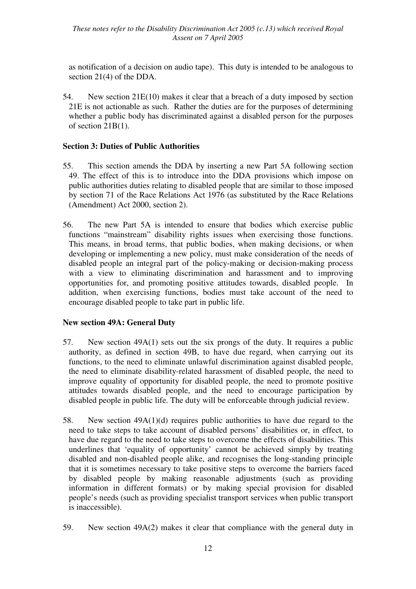as notification of a decision on audio tape). This duty is intended to be analogous to section 21(4) of the DDA.

54. New section 21E(10) makes it clear that a breach of a duty imposed by section 21E is not actionable as such. Rather the duties are for the purposes of determining whether a public body has discriminated against a disabled person for the purposes of section 21B(1).

## **Section 3: Duties of Public Authorities**

- 55. This section amends the DDA by inserting a new Part 5A following section 49. The effect of this is to introduce into the DDA provisions which impose on public authorities duties relating to disabled people that are similar to those imposed by section 71 of the Race Relations Act 1976 (as substituted by the Race Relations (Amendment) Act 2000, section 2).
- 56. The new Part 5A is intended to ensure that bodies which exercise public functions "mainstream" disability rights issues when exercising those functions. This means, in broad terms, that public bodies, when making decisions, or when developing or implementing a new policy, must make consideration of the needs of disabled people an integral part of the policy-making or decision-making process with a view to eliminating discrimination and harassment and to improving opportunities for, and promoting positive attitudes towards, disabled people. In addition, when exercising functions, bodies must take account of the need to encourage disabled people to take part in public life.

#### **New section 49A: General Duty**

- 57. New section 49A(1) sets out the six prongs of the duty. It requires a public authority, as defined in section 49B, to have due regard, when carrying out its functions, to the need to eliminate unlawful discrimination against disabled people, the need to eliminate disability-related harassment of disabled people, the need to improve equality of opportunity for disabled people, the need to promote positive attitudes towards disabled people, and the need to encourage participation by disabled people in public life. The duty will be enforceable through judicial review.
- 58. New section 49A(1)(d) requires public authorities to have due regard to the need to take steps to take account of disabled persons' disabilities or, in effect, to have due regard to the need to take steps to overcome the effects of disabilities. This underlines that 'equality of opportunity' cannot be achieved simply by treating disabled and non-disabled people alike, and recognises the long-standing principle that it is sometimes necessary to take positive steps to overcome the barriers faced by disabled people by making reasonable adjustments (such as providing information in different formats) or by making special provision for disabled people's needs (such as providing specialist transport services when public transport is inaccessible).
- 59. New section 49A(2) makes it clear that compliance with the general duty in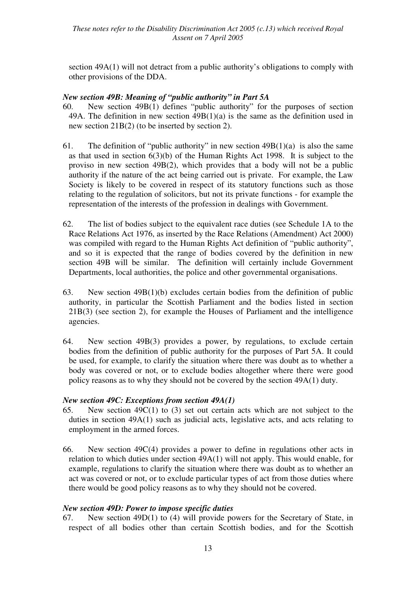section 49A(1) will not detract from a public authority's obligations to comply with other provisions of the DDA.

#### *New section 49B: Meaning of "public authority" in Part 5A*

- 60. New section 49B(1) defines "public authority" for the purposes of section 49A. The definition in new section 49B(1)(a) is the same as the definition used in new section 21B(2) (to be inserted by section 2).
- 61. The definition of "public authority" in new section  $49B(1)(a)$  is also the same as that used in section 6(3)(b) of the Human Rights Act 1998. It is subject to the proviso in new section 49B(2), which provides that a body will not be a public authority if the nature of the act being carried out is private. For example, the Law Society is likely to be covered in respect of its statutory functions such as those relating to the regulation of solicitors, but not its private functions - for example the representation of the interests of the profession in dealings with Government.
- 62. The list of bodies subject to the equivalent race duties (see Schedule 1A to the Race Relations Act 1976, as inserted by the Race Relations (Amendment) Act 2000) was compiled with regard to the Human Rights Act definition of "public authority", and so it is expected that the range of bodies covered by the definition in new section 49B will be similar. The definition will certainly include Government Departments, local authorities, the police and other governmental organisations.
- 63. New section 49B(1)(b) excludes certain bodies from the definition of public authority, in particular the Scottish Parliament and the bodies listed in section 21B(3) (see section 2), for example the Houses of Parliament and the intelligence agencies.
- 64. New section 49B(3) provides a power, by regulations, to exclude certain bodies from the definition of public authority for the purposes of Part 5A. It could be used, for example, to clarify the situation where there was doubt as to whether a body was covered or not, or to exclude bodies altogether where there were good policy reasons as to why they should not be covered by the section 49A(1) duty.

#### *New section 49C: Exceptions from section 49A(1)*

- 65. New section 49C(1) to (3) set out certain acts which are not subject to the duties in section 49A(1) such as judicial acts, legislative acts, and acts relating to employment in the armed forces.
- 66. New section 49C(4) provides a power to define in regulations other acts in relation to which duties under section 49A(1) will not apply. This would enable, for example, regulations to clarify the situation where there was doubt as to whether an act was covered or not, or to exclude particular types of act from those duties where there would be good policy reasons as to why they should not be covered.

## *New section 49D: Power to impose specific duties*

67. New section 49D(1) to (4) will provide powers for the Secretary of State, in respect of all bodies other than certain Scottish bodies, and for the Scottish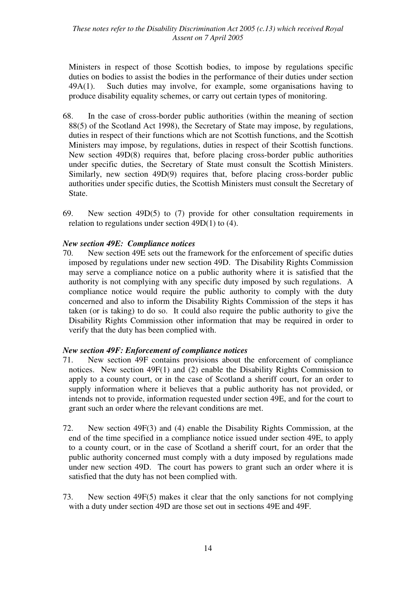Ministers in respect of those Scottish bodies, to impose by regulations specific duties on bodies to assist the bodies in the performance of their duties under section 49A(1). Such duties may involve, for example, some organisations having to produce disability equality schemes, or carry out certain types of monitoring.

- 68. In the case of cross-border public authorities (within the meaning of section 88(5) of the Scotland Act 1998), the Secretary of State may impose, by regulations, duties in respect of their functions which are not Scottish functions, and the Scottish Ministers may impose, by regulations, duties in respect of their Scottish functions. New section 49D(8) requires that, before placing cross-border public authorities under specific duties, the Secretary of State must consult the Scottish Ministers. Similarly, new section 49D(9) requires that, before placing cross-border public authorities under specific duties, the Scottish Ministers must consult the Secretary of State.
- 69. New section 49D(5) to (7) provide for other consultation requirements in relation to regulations under section 49D(1) to (4).

## *New section 49E: Compliance notices*

70. New section 49E sets out the framework for the enforcement of specific duties imposed by regulations under new section 49D. The Disability Rights Commission may serve a compliance notice on a public authority where it is satisfied that the authority is not complying with any specific duty imposed by such regulations. A compliance notice would require the public authority to comply with the duty concerned and also to inform the Disability Rights Commission of the steps it has taken (or is taking) to do so. It could also require the public authority to give the Disability Rights Commission other information that may be required in order to verify that the duty has been complied with.

#### *New section 49F: Enforcement of compliance notices*

- 71. New section 49F contains provisions about the enforcement of compliance notices. New section 49F(1) and (2) enable the Disability Rights Commission to apply to a county court, or in the case of Scotland a sheriff court, for an order to supply information where it believes that a public authority has not provided, or intends not to provide, information requested under section 49E, and for the court to grant such an order where the relevant conditions are met.
- 72. New section 49F(3) and (4) enable the Disability Rights Commission, at the end of the time specified in a compliance notice issued under section 49E, to apply to a county court, or in the case of Scotland a sheriff court, for an order that the public authority concerned must comply with a duty imposed by regulations made under new section 49D. The court has powers to grant such an order where it is satisfied that the duty has not been complied with.
- 73. New section 49F(5) makes it clear that the only sanctions for not complying with a duty under section 49D are those set out in sections 49E and 49F.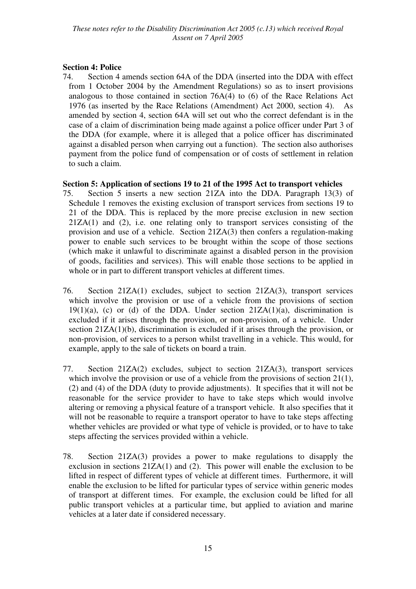## **Section 4: Police**

74. Section 4 amends section 64A of the DDA (inserted into the DDA with effect from 1 October 2004 by the Amendment Regulations) so as to insert provisions analogous to those contained in section 76A(4) to (6) of the Race Relations Act 1976 (as inserted by the Race Relations (Amendment) Act 2000, section 4). As amended by section 4, section 64A will set out who the correct defendant is in the case of a claim of discrimination being made against a police officer under Part 3 of the DDA (for example, where it is alleged that a police officer has discriminated against a disabled person when carrying out a function). The section also authorises payment from the police fund of compensation or of costs of settlement in relation to such a claim.

## **Section 5: Application of sections 19 to 21 of the 1995 Act to transport vehicles**

- 75. Section 5 inserts a new section 21ZA into the DDA. Paragraph 13(3) of Schedule 1 removes the existing exclusion of transport services from sections 19 to 21 of the DDA. This is replaced by the more precise exclusion in new section 21ZA(1) and (2), i.e. one relating only to transport services consisting of the provision and use of a vehicle. Section 21ZA(3) then confers a regulation-making power to enable such services to be brought within the scope of those sections (which make it unlawful to discriminate against a disabled person in the provision of goods, facilities and services). This will enable those sections to be applied in whole or in part to different transport vehicles at different times.
- 76. Section 21ZA(1) excludes, subject to section 21ZA(3), transport services which involve the provision or use of a vehicle from the provisions of section  $19(1)(a)$ , (c) or (d) of the DDA. Under section  $21ZA(1)(a)$ , discrimination is excluded if it arises through the provision, or non-provision, of a vehicle. Under section 21ZA(1)(b), discrimination is excluded if it arises through the provision, or non-provision, of services to a person whilst travelling in a vehicle. This would, for example, apply to the sale of tickets on board a train.
- 77. Section 21ZA(2) excludes, subject to section 21ZA(3), transport services which involve the provision or use of a vehicle from the provisions of section 21(1), (2) and (4) of the DDA (duty to provide adjustments). It specifies that it will not be reasonable for the service provider to have to take steps which would involve altering or removing a physical feature of a transport vehicle. It also specifies that it will not be reasonable to require a transport operator to have to take steps affecting whether vehicles are provided or what type of vehicle is provided, or to have to take steps affecting the services provided within a vehicle.
- 78. Section 21ZA(3) provides a power to make regulations to disapply the exclusion in sections 21ZA(1) and (2). This power will enable the exclusion to be lifted in respect of different types of vehicle at different times. Furthermore, it will enable the exclusion to be lifted for particular types of service within generic modes of transport at different times. For example, the exclusion could be lifted for all public transport vehicles at a particular time, but applied to aviation and marine vehicles at a later date if considered necessary.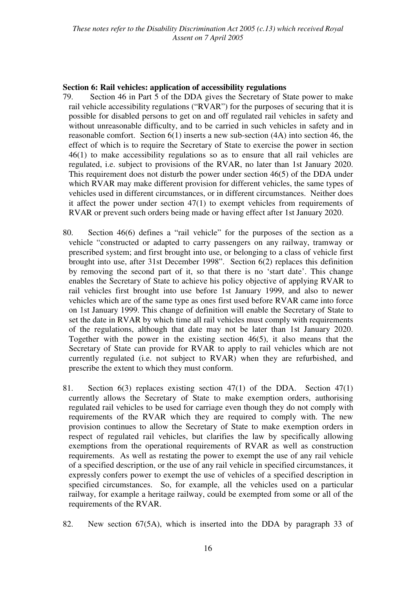#### **Section 6: Rail vehicles: application of accessibility regulations**

- 79. Section 46 in Part 5 of the DDA gives the Secretary of State power to make rail vehicle accessibility regulations ("RVAR") for the purposes of securing that it is possible for disabled persons to get on and off regulated rail vehicles in safety and without unreasonable difficulty, and to be carried in such vehicles in safety and in reasonable comfort. Section 6(1) inserts a new sub-section (4A) into section 46, the effect of which is to require the Secretary of State to exercise the power in section 46(1) to make accessibility regulations so as to ensure that all rail vehicles are regulated, i.e. subject to provisions of the RVAR, no later than 1st January 2020. This requirement does not disturb the power under section 46(5) of the DDA under which RVAR may make different provision for different vehicles, the same types of vehicles used in different circumstances, or in different circumstances. Neither does it affect the power under section 47(1) to exempt vehicles from requirements of RVAR or prevent such orders being made or having effect after 1st January 2020.
- 80. Section 46(6) defines a "rail vehicle" for the purposes of the section as a vehicle "constructed or adapted to carry passengers on any railway, tramway or prescribed system; and first brought into use, or belonging to a class of vehicle first brought into use, after 31st December 1998". Section 6(2) replaces this definition by removing the second part of it, so that there is no 'start date'. This change enables the Secretary of State to achieve his policy objective of applying RVAR to rail vehicles first brought into use before 1st January 1999, and also to newer vehicles which are of the same type as ones first used before RVAR came into force on 1st January 1999. This change of definition will enable the Secretary of State to set the date in RVAR by which time all rail vehicles must comply with requirements of the regulations, although that date may not be later than 1st January 2020. Together with the power in the existing section 46(5), it also means that the Secretary of State can provide for RVAR to apply to rail vehicles which are not currently regulated (i.e. not subject to RVAR) when they are refurbished, and prescribe the extent to which they must conform.
- 81. Section 6(3) replaces existing section 47(1) of the DDA. Section 47(1) currently allows the Secretary of State to make exemption orders, authorising regulated rail vehicles to be used for carriage even though they do not comply with requirements of the RVAR which they are required to comply with. The new provision continues to allow the Secretary of State to make exemption orders in respect of regulated rail vehicles, but clarifies the law by specifically allowing exemptions from the operational requirements of RVAR as well as construction requirements. As well as restating the power to exempt the use of any rail vehicle of a specified description, or the use of any rail vehicle in specified circumstances, it expressly confers power to exempt the use of vehicles of a specified description in specified circumstances. So, for example, all the vehicles used on a particular railway, for example a heritage railway, could be exempted from some or all of the requirements of the RVAR.
- 82. New section 67(5A), which is inserted into the DDA by paragraph 33 of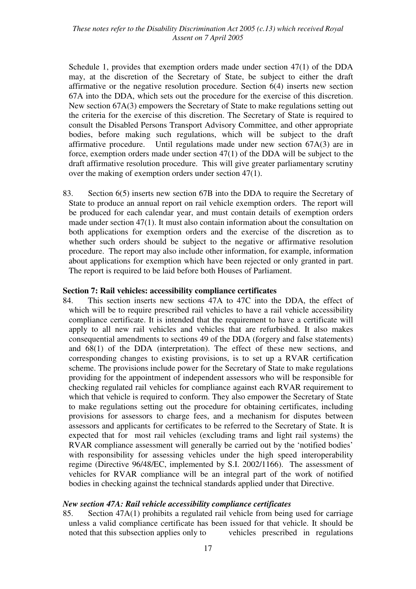Schedule 1, provides that exemption orders made under section 47(1) of the DDA may, at the discretion of the Secretary of State, be subject to either the draft affirmative or the negative resolution procedure. Section 6(4) inserts new section 67A into the DDA, which sets out the procedure for the exercise of this discretion. New section 67A(3) empowers the Secretary of State to make regulations setting out the criteria for the exercise of this discretion. The Secretary of State is required to consult the Disabled Persons Transport Advisory Committee, and other appropriate bodies, before making such regulations, which will be subject to the draft affirmative procedure. Until regulations made under new section 67A(3) are in force, exemption orders made under section 47(1) of the DDA will be subject to the draft affirmative resolution procedure. This will give greater parliamentary scrutiny over the making of exemption orders under section 47(1).

83. Section 6(5) inserts new section 67B into the DDA to require the Secretary of State to produce an annual report on rail vehicle exemption orders. The report will be produced for each calendar year, and must contain details of exemption orders made under section 47(1). It must also contain information about the consultation on both applications for exemption orders and the exercise of the discretion as to whether such orders should be subject to the negative or affirmative resolution procedure. The report may also include other information, for example, information about applications for exemption which have been rejected or only granted in part. The report is required to be laid before both Houses of Parliament.

#### **Section 7: Rail vehicles: accessibility compliance certificates**

84. This section inserts new sections 47A to 47C into the DDA, the effect of which will be to require prescribed rail vehicles to have a rail vehicle accessibility compliance certificate. It is intended that the requirement to have a certificate will apply to all new rail vehicles and vehicles that are refurbished. It also makes consequential amendments to sections 49 of the DDA (forgery and false statements) and 68(1) of the DDA (interpretation). The effect of these new sections, and corresponding changes to existing provisions, is to set up a RVAR certification scheme. The provisions include power for the Secretary of State to make regulations providing for the appointment of independent assessors who will be responsible for checking regulated rail vehicles for compliance against each RVAR requirement to which that vehicle is required to conform. They also empower the Secretary of State to make regulations setting out the procedure for obtaining certificates, including provisions for assessors to charge fees, and a mechanism for disputes between assessors and applicants for certificates to be referred to the Secretary of State. It is expected that for most rail vehicles (excluding trams and light rail systems) the RVAR compliance assessment will generally be carried out by the 'notified bodies' with responsibility for assessing vehicles under the high speed interoperability regime (Directive 96/48/EC, implemented by S.I. 2002/1166). The assessment of vehicles for RVAR compliance will be an integral part of the work of notified bodies in checking against the technical standards applied under that Directive.

#### *New section 47A: Rail vehicle accessibility compliance certificates*

85. Section 47A(1) prohibits a regulated rail vehicle from being used for carriage unless a valid compliance certificate has been issued for that vehicle. It should be noted that this subsection applies only to vehicles prescribed in regulations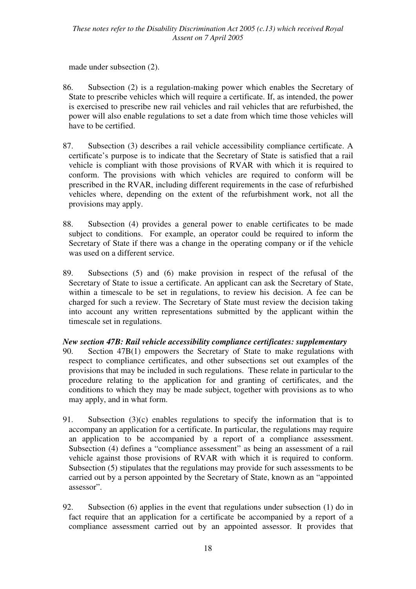made under subsection (2).

- 86. Subsection (2) is a regulation-making power which enables the Secretary of State to prescribe vehicles which will require a certificate. If, as intended, the power is exercised to prescribe new rail vehicles and rail vehicles that are refurbished, the power will also enable regulations to set a date from which time those vehicles will have to be certified.
- 87. Subsection (3) describes a rail vehicle accessibility compliance certificate. A certificate's purpose is to indicate that the Secretary of State is satisfied that a rail vehicle is compliant with those provisions of RVAR with which it is required to conform. The provisions with which vehicles are required to conform will be prescribed in the RVAR, including different requirements in the case of refurbished vehicles where, depending on the extent of the refurbishment work, not all the provisions may apply.
- 88. Subsection (4) provides a general power to enable certificates to be made subject to conditions. For example, an operator could be required to inform the Secretary of State if there was a change in the operating company or if the vehicle was used on a different service.
- 89. Subsections (5) and (6) make provision in respect of the refusal of the Secretary of State to issue a certificate. An applicant can ask the Secretary of State, within a timescale to be set in regulations, to review his decision. A fee can be charged for such a review. The Secretary of State must review the decision taking into account any written representations submitted by the applicant within the timescale set in regulations.

## *New section 47B: Rail vehicle accessibility compliance certificates: supplementary*

- 90. Section 47B(1) empowers the Secretary of State to make regulations with respect to compliance certificates, and other subsections set out examples of the provisions that may be included in such regulations. These relate in particular to the procedure relating to the application for and granting of certificates, and the conditions to which they may be made subject, together with provisions as to who may apply, and in what form.
- 91. Subsection (3)(c) enables regulations to specify the information that is to accompany an application for a certificate. In particular, the regulations may require an application to be accompanied by a report of a compliance assessment. Subsection (4) defines a "compliance assessment" as being an assessment of a rail vehicle against those provisions of RVAR with which it is required to conform. Subsection (5) stipulates that the regulations may provide for such assessments to be carried out by a person appointed by the Secretary of State, known as an "appointed assessor".
- 92. Subsection (6) applies in the event that regulations under subsection (1) do in fact require that an application for a certificate be accompanied by a report of a compliance assessment carried out by an appointed assessor. It provides that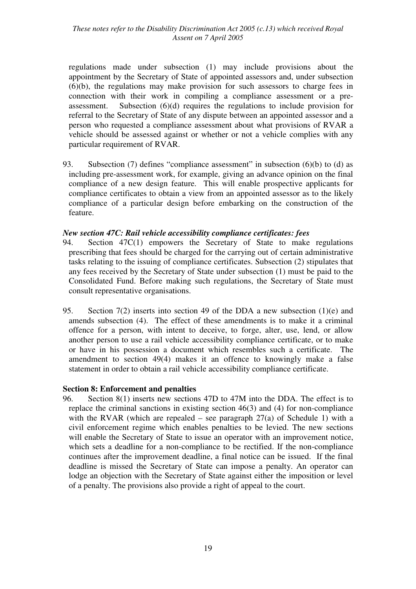regulations made under subsection (1) may include provisions about the appointment by the Secretary of State of appointed assessors and, under subsection (6)(b), the regulations may make provision for such assessors to charge fees in connection with their work in compiling a compliance assessment or a preassessment. Subsection  $(6)(d)$  requires the regulations to include provision for referral to the Secretary of State of any dispute between an appointed assessor and a person who requested a compliance assessment about what provisions of RVAR a vehicle should be assessed against or whether or not a vehicle complies with any particular requirement of RVAR.

93. Subsection (7) defines "compliance assessment" in subsection (6)(b) to (d) as including pre-assessment work, for example, giving an advance opinion on the final compliance of a new design feature. This will enable prospective applicants for compliance certificates to obtain a view from an appointed assessor as to the likely compliance of a particular design before embarking on the construction of the feature.

#### *New section 47C: Rail vehicle accessibility compliance certificates: fees*

- 94. Section 47C(1) empowers the Secretary of State to make regulations prescribing that fees should be charged for the carrying out of certain administrative tasks relating to the issuing of compliance certificates. Subsection (2) stipulates that any fees received by the Secretary of State under subsection (1) must be paid to the Consolidated Fund. Before making such regulations, the Secretary of State must consult representative organisations.
- 95. Section 7(2) inserts into section 49 of the DDA a new subsection (1)(e) and amends subsection (4). The effect of these amendments is to make it a criminal offence for a person, with intent to deceive, to forge, alter, use, lend, or allow another person to use a rail vehicle accessibility compliance certificate, or to make or have in his possession a document which resembles such a certificate. The amendment to section 49(4) makes it an offence to knowingly make a false statement in order to obtain a rail vehicle accessibility compliance certificate.

#### **Section 8: Enforcement and penalties**

96. Section 8(1) inserts new sections 47D to 47M into the DDA. The effect is to replace the criminal sanctions in existing section 46(3) and (4) for non-compliance with the RVAR (which are repealed – see paragraph  $27(a)$  of Schedule 1) with a civil enforcement regime which enables penalties to be levied. The new sections will enable the Secretary of State to issue an operator with an improvement notice, which sets a deadline for a non-compliance to be rectified. If the non-compliance continues after the improvement deadline, a final notice can be issued. If the final deadline is missed the Secretary of State can impose a penalty. An operator can lodge an objection with the Secretary of State against either the imposition or level of a penalty. The provisions also provide a right of appeal to the court.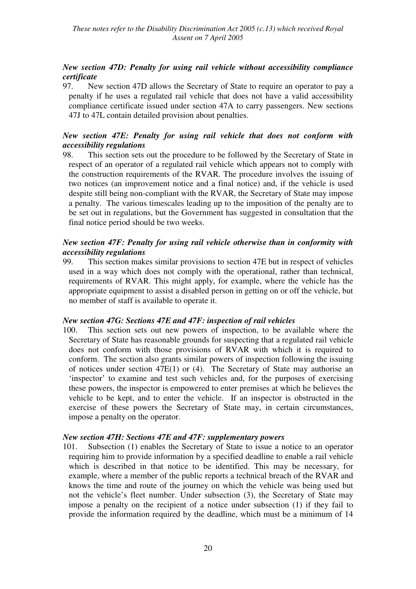## *New section 47D: Penalty for using rail vehicle without accessibility compliance certificate*

97. New section 47D allows the Secretary of State to require an operator to pay a penalty if he uses a regulated rail vehicle that does not have a valid accessibility compliance certificate issued under section 47A to carry passengers. New sections 47J to 47L contain detailed provision about penalties.

## *New section 47E: Penalty for using rail vehicle that does not conform with accessibility regulations*

98. This section sets out the procedure to be followed by the Secretary of State in respect of an operator of a regulated rail vehicle which appears not to comply with the construction requirements of the RVAR. The procedure involves the issuing of two notices (an improvement notice and a final notice) and, if the vehicle is used despite still being non-compliant with the RVAR, the Secretary of State may impose a penalty. The various timescales leading up to the imposition of the penalty are to be set out in regulations, but the Government has suggested in consultation that the final notice period should be two weeks.

## *New section 47F: Penalty for using rail vehicle otherwise than in conformity with accessibility regulations*

99. This section makes similar provisions to section 47E but in respect of vehicles used in a way which does not comply with the operational, rather than technical, requirements of RVAR. This might apply, for example, where the vehicle has the appropriate equipment to assist a disabled person in getting on or off the vehicle, but no member of staff is available to operate it.

#### *New section 47G: Sections 47E and 47F: inspection of rail vehicles*

100. This section sets out new powers of inspection, to be available where the Secretary of State has reasonable grounds for suspecting that a regulated rail vehicle does not conform with those provisions of RVAR with which it is required to conform. The section also grants similar powers of inspection following the issuing of notices under section 47E(1) or (4). The Secretary of State may authorise an 'inspector' to examine and test such vehicles and, for the purposes of exercising these powers, the inspector is empowered to enter premises at which he believes the vehicle to be kept, and to enter the vehicle. If an inspector is obstructed in the exercise of these powers the Secretary of State may, in certain circumstances, impose a penalty on the operator.

#### *New section 47H: Sections 47E and 47F: supplementary powers*

101. Subsection (1) enables the Secretary of State to issue a notice to an operator requiring him to provide information by a specified deadline to enable a rail vehicle which is described in that notice to be identified. This may be necessary, for example, where a member of the public reports a technical breach of the RVAR and knows the time and route of the journey on which the vehicle was being used but not the vehicle's fleet number. Under subsection (3), the Secretary of State may impose a penalty on the recipient of a notice under subsection (1) if they fail to provide the information required by the deadline, which must be a minimum of 14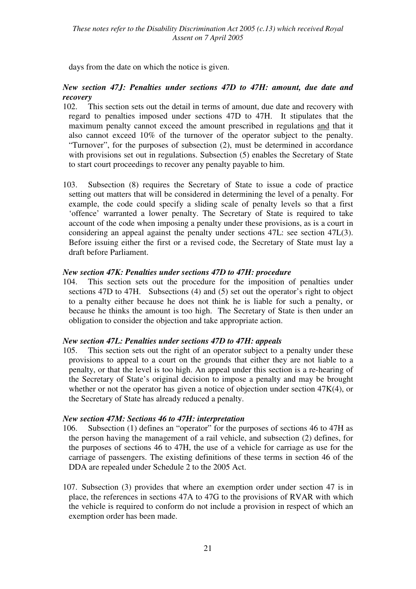days from the date on which the notice is given.

## *New section 47J: Penalties under sections 47D to 47H: amount, due date and recovery*

- 102. This section sets out the detail in terms of amount, due date and recovery with regard to penalties imposed under sections 47D to 47H. It stipulates that the maximum penalty cannot exceed the amount prescribed in regulations and that it also cannot exceed 10% of the turnover of the operator subject to the penalty. "Turnover", for the purposes of subsection (2), must be determined in accordance with provisions set out in regulations. Subsection (5) enables the Secretary of State to start court proceedings to recover any penalty payable to him.
- 103. Subsection (8) requires the Secretary of State to issue a code of practice setting out matters that will be considered in determining the level of a penalty. For example, the code could specify a sliding scale of penalty levels so that a first 'offence' warranted a lower penalty. The Secretary of State is required to take account of the code when imposing a penalty under these provisions, as is a court in considering an appeal against the penalty under sections 47L: see section 47L(3). Before issuing either the first or a revised code, the Secretary of State must lay a draft before Parliament.

## *New section 47K: Penalties under sections 47D to 47H: procedure*

104. This section sets out the procedure for the imposition of penalties under sections 47D to 47H. Subsections (4) and (5) set out the operator's right to object to a penalty either because he does not think he is liable for such a penalty, or because he thinks the amount is too high. The Secretary of State is then under an obligation to consider the objection and take appropriate action.

## *New section 47L: Penalties under sections 47D to 47H: appeals*

105. This section sets out the right of an operator subject to a penalty under these provisions to appeal to a court on the grounds that either they are not liable to a penalty, or that the level is too high. An appeal under this section is a re-hearing of the Secretary of State's original decision to impose a penalty and may be brought whether or not the operator has given a notice of objection under section 47K(4), or the Secretary of State has already reduced a penalty.

#### *New section 47M: Sections 46 to 47H: interpretation*

- 106. Subsection (1) defines an "operator" for the purposes of sections 46 to 47H as the person having the management of a rail vehicle, and subsection (2) defines, for the purposes of sections 46 to 47H, the use of a vehicle for carriage as use for the carriage of passengers. The existing definitions of these terms in section 46 of the DDA are repealed under Schedule 2 to the 2005 Act.
- 107. Subsection (3) provides that where an exemption order under section 47 is in place, the references in sections 47A to 47G to the provisions of RVAR with which the vehicle is required to conform do not include a provision in respect of which an exemption order has been made.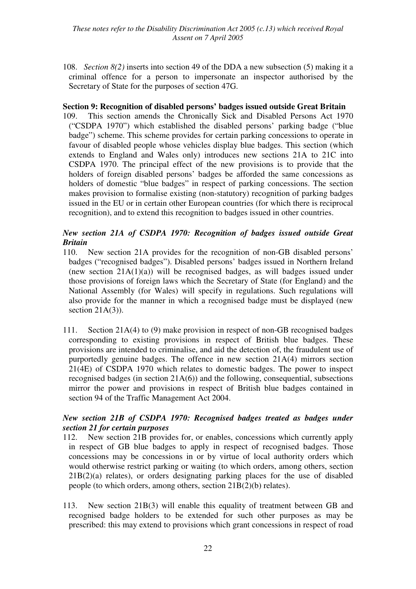*These notes refer to the Disability Discrimination Act 2005 (c.13) which received Royal Assent on 7 April 2005* 

108. *Section 8(2)* inserts into section 49 of the DDA a new subsection (5) making it a criminal offence for a person to impersonate an inspector authorised by the Secretary of State for the purposes of section 47G.

#### **Section 9: Recognition of disabled persons' badges issued outside Great Britain**

109. This section amends the Chronically Sick and Disabled Persons Act 1970 ("CSDPA 1970") which established the disabled persons' parking badge ("blue badge") scheme. This scheme provides for certain parking concessions to operate in favour of disabled people whose vehicles display blue badges. This section (which extends to England and Wales only) introduces new sections 21A to 21C into CSDPA 1970. The principal effect of the new provisions is to provide that the holders of foreign disabled persons' badges be afforded the same concessions as holders of domestic "blue badges" in respect of parking concessions. The section makes provision to formalise existing (non-statutory) recognition of parking badges issued in the EU or in certain other European countries (for which there is reciprocal recognition), and to extend this recognition to badges issued in other countries.

## *New section 21A of CSDPA 1970: Recognition of badges issued outside Great Britain*

- 110. New section 21A provides for the recognition of non-GB disabled persons' badges ("recognised badges"). Disabled persons' badges issued in Northern Ireland (new section  $21A(1)(a)$ ) will be recognised badges, as will badges issued under those provisions of foreign laws which the Secretary of State (for England) and the National Assembly (for Wales) will specify in regulations. Such regulations will also provide for the manner in which a recognised badge must be displayed (new section  $21A(3)$ ).
- 111. Section 21A(4) to (9) make provision in respect of non-GB recognised badges corresponding to existing provisions in respect of British blue badges. These provisions are intended to criminalise, and aid the detection of, the fraudulent use of purportedly genuine badges. The offence in new section 21A(4) mirrors section 21(4E) of CSDPA 1970 which relates to domestic badges. The power to inspect recognised badges (in section 21A(6)) and the following, consequential, subsections mirror the power and provisions in respect of British blue badges contained in section 94 of the Traffic Management Act 2004.

## *New section 21B of CSDPA 1970: Recognised badges treated as badges under section 21 for certain purposes*

- 112. New section 21B provides for, or enables, concessions which currently apply in respect of GB blue badges to apply in respect of recognised badges. Those concessions may be concessions in or by virtue of local authority orders which would otherwise restrict parking or waiting (to which orders, among others, section 21B(2)(a) relates), or orders designating parking places for the use of disabled people (to which orders, among others, section 21B(2)(b) relates).
- 113. New section 21B(3) will enable this equality of treatment between GB and recognised badge holders to be extended for such other purposes as may be prescribed: this may extend to provisions which grant concessions in respect of road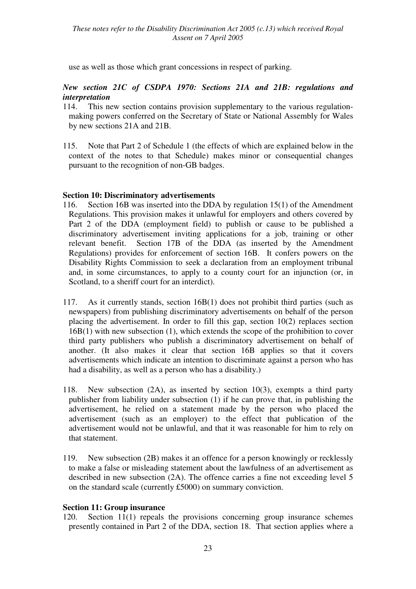use as well as those which grant concessions in respect of parking.

## *New section 21C of CSDPA 1970: Sections 21A and 21B: regulations and interpretation*

- 114. This new section contains provision supplementary to the various regulationmaking powers conferred on the Secretary of State or National Assembly for Wales by new sections 21A and 21B.
- 115. Note that Part 2 of Schedule 1 (the effects of which are explained below in the context of the notes to that Schedule) makes minor or consequential changes pursuant to the recognition of non-GB badges.

## **Section 10: Discriminatory advertisements**

- 116. Section 16B was inserted into the DDA by regulation 15(1) of the Amendment Regulations. This provision makes it unlawful for employers and others covered by Part 2 of the DDA (employment field) to publish or cause to be published a discriminatory advertisement inviting applications for a job, training or other relevant benefit. Section 17B of the DDA (as inserted by the Amendment Regulations) provides for enforcement of section 16B. It confers powers on the Disability Rights Commission to seek a declaration from an employment tribunal and, in some circumstances, to apply to a county court for an injunction (or, in Scotland, to a sheriff court for an interdict).
- 117. As it currently stands, section 16B(1) does not prohibit third parties (such as newspapers) from publishing discriminatory advertisements on behalf of the person placing the advertisement. In order to fill this gap, section 10(2) replaces section 16B(1) with new subsection (1), which extends the scope of the prohibition to cover third party publishers who publish a discriminatory advertisement on behalf of another. (It also makes it clear that section 16B applies so that it covers advertisements which indicate an intention to discriminate against a person who has had a disability, as well as a person who has a disability.)
- 118. New subsection (2A), as inserted by section 10(3), exempts a third party publisher from liability under subsection (1) if he can prove that, in publishing the advertisement, he relied on a statement made by the person who placed the advertisement (such as an employer) to the effect that publication of the advertisement would not be unlawful, and that it was reasonable for him to rely on that statement.
- 119. New subsection (2B) makes it an offence for a person knowingly or recklessly to make a false or misleading statement about the lawfulness of an advertisement as described in new subsection (2A). The offence carries a fine not exceeding level 5 on the standard scale (currently £5000) on summary conviction.

## **Section 11: Group insurance**

120. Section 11(1) repeals the provisions concerning group insurance schemes presently contained in Part 2 of the DDA, section 18. That section applies where a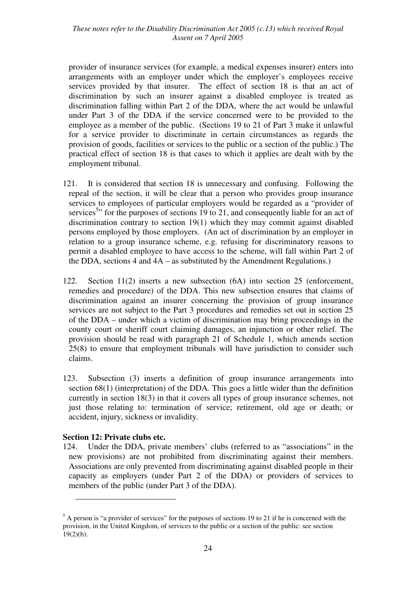provider of insurance services (for example, a medical expenses insurer) enters into arrangements with an employer under which the employer's employees receive services provided by that insurer. The effect of section 18 is that an act of discrimination by such an insurer against a disabled employee is treated as discrimination falling within Part 2 of the DDA, where the act would be unlawful under Part 3 of the DDA if the service concerned were to be provided to the employee as a member of the public. (Sections 19 to 21 of Part 3 make it unlawful for a service provider to discriminate in certain circumstances as regards the provision of goods, facilities or services to the public or a section of the public.) The practical effect of section 18 is that cases to which it applies are dealt with by the employment tribunal.

- 121. It is considered that section 18 is unnecessary and confusing. Following the repeal of the section, it will be clear that a person who provides group insurance services to employees of particular employers would be regarded as a "provider of services<sup>5</sup>" for the purposes of sections 19 to 21, and consequently liable for an act of discrimination contrary to section 19(1) which they may commit against disabled persons employed by those employers. (An act of discrimination by an employer in relation to a group insurance scheme, e.g. refusing for discriminatory reasons to permit a disabled employee to have access to the scheme, will fall within Part 2 of the DDA, sections  $4$  and  $4A -$  as substituted by the Amendment Regulations.)
- 122. Section 11(2) inserts a new subsection (6A) into section 25 (enforcement, remedies and procedure) of the DDA. This new subsection ensures that claims of discrimination against an insurer concerning the provision of group insurance services are not subject to the Part 3 procedures and remedies set out in section 25 of the DDA – under which a victim of discrimination may bring proceedings in the county court or sheriff court claiming damages, an injunction or other relief. The provision should be read with paragraph 21 of Schedule 1, which amends section 25(8) to ensure that employment tribunals will have jurisdiction to consider such claims.
- 123. Subsection (3) inserts a definition of group insurance arrangements into section 68(1) (interpretation) of the DDA. This goes a little wider than the definition currently in section 18(3) in that it covers all types of group insurance schemes, not just those relating to: termination of service; retirement, old age or death; or accident, injury, sickness or invalidity.

#### **Section 12: Private clubs etc.**

 $\overline{a}$ 

124. Under the DDA, private members' clubs (referred to as "associations" in the new provisions) are not prohibited from discriminating against their members. Associations are only prevented from discriminating against disabled people in their capacity as employers (under Part 2 of the DDA) or providers of services to members of the public (under Part 3 of the DDA).

 $<sup>5</sup>$  A person is "a provider of services" for the purposes of sections 19 to 21 if he is concerned with the</sup> provision, in the United Kingdom, of services to the public or a section of the public: see section  $19(2)(b)$ .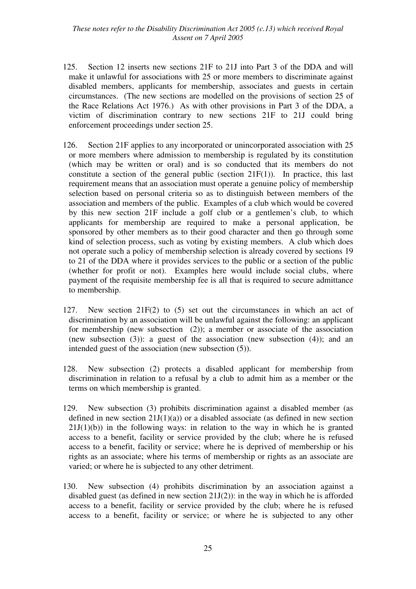*These notes refer to the Disability Discrimination Act 2005 (c.13) which received Royal Assent on 7 April 2005* 

- 125. Section 12 inserts new sections 21F to 21J into Part 3 of the DDA and will make it unlawful for associations with 25 or more members to discriminate against disabled members, applicants for membership, associates and guests in certain circumstances. (The new sections are modelled on the provisions of section 25 of the Race Relations Act 1976.) As with other provisions in Part 3 of the DDA, a victim of discrimination contrary to new sections 21F to 21J could bring enforcement proceedings under section 25.
- 126. Section 21F applies to any incorporated or unincorporated association with 25 or more members where admission to membership is regulated by its constitution (which may be written or oral) and is so conducted that its members do not constitute a section of the general public (section  $21F(1)$ ). In practice, this last requirement means that an association must operate a genuine policy of membership selection based on personal criteria so as to distinguish between members of the association and members of the public. Examples of a club which would be covered by this new section 21F include a golf club or a gentlemen's club, to which applicants for membership are required to make a personal application, be sponsored by other members as to their good character and then go through some kind of selection process, such as voting by existing members. A club which does not operate such a policy of membership selection is already covered by sections 19 to 21 of the DDA where it provides services to the public or a section of the public (whether for profit or not). Examples here would include social clubs, where payment of the requisite membership fee is all that is required to secure admittance to membership.
- 127. New section 21F(2) to (5) set out the circumstances in which an act of discrimination by an association will be unlawful against the following: an applicant for membership (new subsection  $(2)$ ); a member or associate of the association (new subsection  $(3)$ ): a guest of the association (new subsection  $(4)$ ); and an intended guest of the association (new subsection (5)).
- 128. New subsection (2) protects a disabled applicant for membership from discrimination in relation to a refusal by a club to admit him as a member or the terms on which membership is granted.
- 129. New subsection (3) prohibits discrimination against a disabled member (as defined in new section  $21J(1)(a)$  or a disabled associate (as defined in new section  $21J(1)(b)$ ) in the following ways: in relation to the way in which he is granted access to a benefit, facility or service provided by the club; where he is refused access to a benefit, facility or service; where he is deprived of membership or his rights as an associate; where his terms of membership or rights as an associate are varied; or where he is subjected to any other detriment.
- 130. New subsection (4) prohibits discrimination by an association against a disabled guest (as defined in new section 21J(2)): in the way in which he is afforded access to a benefit, facility or service provided by the club; where he is refused access to a benefit, facility or service; or where he is subjected to any other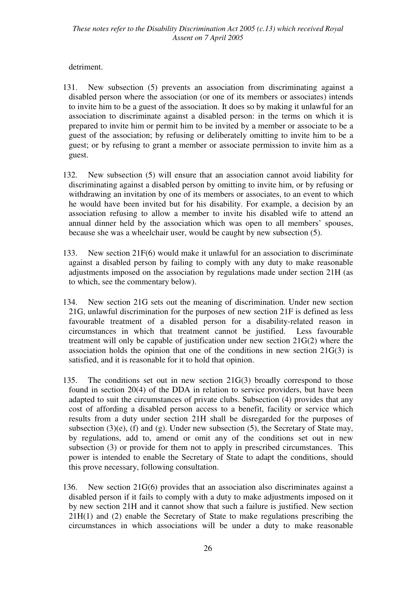## detriment.

- 131. New subsection (5) prevents an association from discriminating against a disabled person where the association (or one of its members or associates) intends to invite him to be a guest of the association. It does so by making it unlawful for an association to discriminate against a disabled person: in the terms on which it is prepared to invite him or permit him to be invited by a member or associate to be a guest of the association; by refusing or deliberately omitting to invite him to be a guest; or by refusing to grant a member or associate permission to invite him as a guest.
- 132. New subsection (5) will ensure that an association cannot avoid liability for discriminating against a disabled person by omitting to invite him, or by refusing or withdrawing an invitation by one of its members or associates, to an event to which he would have been invited but for his disability. For example, a decision by an association refusing to allow a member to invite his disabled wife to attend an annual dinner held by the association which was open to all members' spouses, because she was a wheelchair user, would be caught by new subsection (5).
- 133. New section 21F(6) would make it unlawful for an association to discriminate against a disabled person by failing to comply with any duty to make reasonable adjustments imposed on the association by regulations made under section 21H (as to which, see the commentary below).
- 134. New section 21G sets out the meaning of discrimination. Under new section 21G, unlawful discrimination for the purposes of new section 21F is defined as less favourable treatment of a disabled person for a disability-related reason in circumstances in which that treatment cannot be justified. Less favourable treatment will only be capable of justification under new section 21G(2) where the association holds the opinion that one of the conditions in new section 21G(3) is satisfied, and it is reasonable for it to hold that opinion.
- 135. The conditions set out in new section 21G(3) broadly correspond to those found in section 20(4) of the DDA in relation to service providers, but have been adapted to suit the circumstances of private clubs. Subsection (4) provides that any cost of affording a disabled person access to a benefit, facility or service which results from a duty under section 21H shall be disregarded for the purposes of subsection  $(3)(e)$ ,  $(f)$  and  $(g)$ . Under new subsection  $(5)$ , the Secretary of State may, by regulations, add to, amend or omit any of the conditions set out in new subsection (3) or provide for them not to apply in prescribed circumstances. This power is intended to enable the Secretary of State to adapt the conditions, should this prove necessary, following consultation.
- 136. New section 21G(6) provides that an association also discriminates against a disabled person if it fails to comply with a duty to make adjustments imposed on it by new section 21H and it cannot show that such a failure is justified. New section 21H(1) and (2) enable the Secretary of State to make regulations prescribing the circumstances in which associations will be under a duty to make reasonable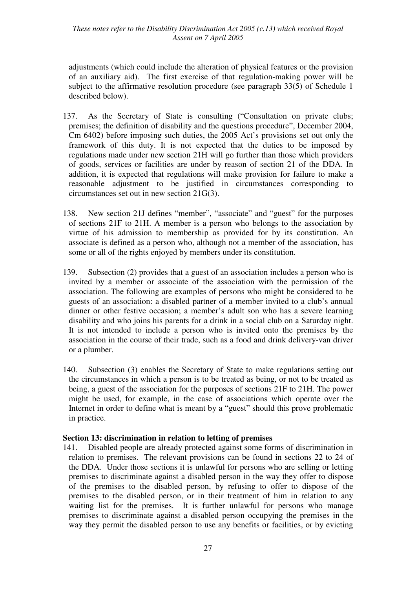*These notes refer to the Disability Discrimination Act 2005 (c.13) which received Royal Assent on 7 April 2005* 

adjustments (which could include the alteration of physical features or the provision of an auxiliary aid). The first exercise of that regulation-making power will be subject to the affirmative resolution procedure (see paragraph 33(5) of Schedule 1 described below).

- 137. As the Secretary of State is consulting ("Consultation on private clubs; premises; the definition of disability and the questions procedure", December 2004, Cm 6402) before imposing such duties, the 2005 Act's provisions set out only the framework of this duty. It is not expected that the duties to be imposed by regulations made under new section 21H will go further than those which providers of goods, services or facilities are under by reason of section 21 of the DDA. In addition, it is expected that regulations will make provision for failure to make a reasonable adjustment to be justified in circumstances corresponding to circumstances set out in new section 21G(3).
- 138. New section 21J defines "member", "associate" and "guest" for the purposes of sections 21F to 21H. A member is a person who belongs to the association by virtue of his admission to membership as provided for by its constitution. An associate is defined as a person who, although not a member of the association, has some or all of the rights enjoyed by members under its constitution.
- 139. Subsection (2) provides that a guest of an association includes a person who is invited by a member or associate of the association with the permission of the association. The following are examples of persons who might be considered to be guests of an association: a disabled partner of a member invited to a club's annual dinner or other festive occasion; a member's adult son who has a severe learning disability and who joins his parents for a drink in a social club on a Saturday night. It is not intended to include a person who is invited onto the premises by the association in the course of their trade, such as a food and drink delivery-van driver or a plumber.
- 140. Subsection (3) enables the Secretary of State to make regulations setting out the circumstances in which a person is to be treated as being, or not to be treated as being, a guest of the association for the purposes of sections 21F to 21H. The power might be used, for example, in the case of associations which operate over the Internet in order to define what is meant by a "guest" should this prove problematic in practice.

#### **Section 13: discrimination in relation to letting of premises**

141. Disabled people are already protected against some forms of discrimination in relation to premises. The relevant provisions can be found in sections 22 to 24 of the DDA. Under those sections it is unlawful for persons who are selling or letting premises to discriminate against a disabled person in the way they offer to dispose of the premises to the disabled person, by refusing to offer to dispose of the premises to the disabled person, or in their treatment of him in relation to any waiting list for the premises. It is further unlawful for persons who manage premises to discriminate against a disabled person occupying the premises in the way they permit the disabled person to use any benefits or facilities, or by evicting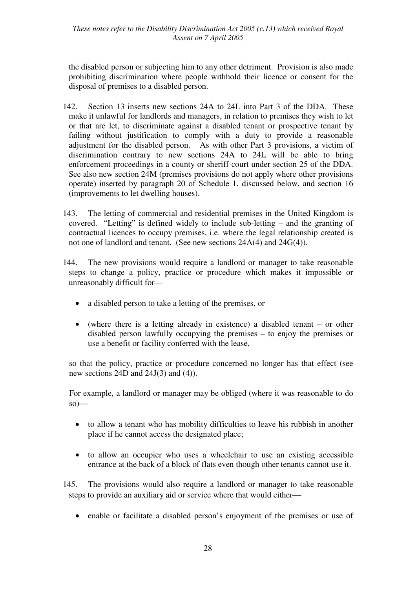*These notes refer to the Disability Discrimination Act 2005 (c.13) which received Royal Assent on 7 April 2005* 

the disabled person or subjecting him to any other detriment. Provision is also made prohibiting discrimination where people withhold their licence or consent for the disposal of premises to a disabled person.

- 142. Section 13 inserts new sections 24A to 24L into Part 3 of the DDA. These make it unlawful for landlords and managers, in relation to premises they wish to let or that are let, to discriminate against a disabled tenant or prospective tenant by failing without justification to comply with a duty to provide a reasonable adjustment for the disabled person. As with other Part 3 provisions, a victim of discrimination contrary to new sections 24A to 24L will be able to bring enforcement proceedings in a county or sheriff court under section 25 of the DDA. See also new section 24M (premises provisions do not apply where other provisions operate) inserted by paragraph 20 of Schedule 1, discussed below, and section 16 (improvements to let dwelling houses).
- 143. The letting of commercial and residential premises in the United Kingdom is covered. "Letting" is defined widely to include sub-letting – and the granting of contractual licences to occupy premises, i.e. where the legal relationship created is not one of landlord and tenant. (See new sections 24A(4) and 24G(4)).
- 144. The new provisions would require a landlord or manager to take reasonable steps to change a policy, practice or procedure which makes it impossible or unreasonably difficult for
	- a disabled person to take a letting of the premises, or
	- (where there is a letting already in existence) a disabled tenant or other disabled person lawfully occupying the premises – to enjoy the premises or use a benefit or facility conferred with the lease,

so that the policy, practice or procedure concerned no longer has that effect (see new sections 24D and 24J(3) and (4)).

For example, a landlord or manager may be obliged (where it was reasonable to do  $so$ )—

- to allow a tenant who has mobility difficulties to leave his rubbish in another place if he cannot access the designated place;
- to allow an occupier who uses a wheelchair to use an existing accessible entrance at the back of a block of flats even though other tenants cannot use it.

145. The provisions would also require a landlord or manager to take reasonable steps to provide an auxiliary aid or service where that would either

• enable or facilitate a disabled person's enjoyment of the premises or use of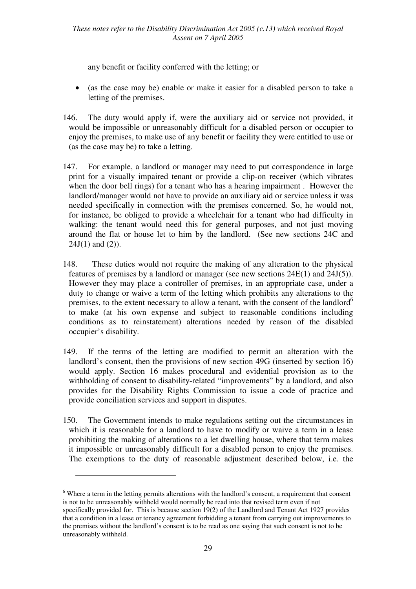any benefit or facility conferred with the letting; or

- (as the case may be) enable or make it easier for a disabled person to take a letting of the premises.
- 146. The duty would apply if, were the auxiliary aid or service not provided, it would be impossible or unreasonably difficult for a disabled person or occupier to enjoy the premises, to make use of any benefit or facility they were entitled to use or (as the case may be) to take a letting.
- 147. For example, a landlord or manager may need to put correspondence in large print for a visually impaired tenant or provide a clip-on receiver (which vibrates when the door bell rings) for a tenant who has a hearing impairment . However the landlord/manager would not have to provide an auxiliary aid or service unless it was needed specifically in connection with the premises concerned. So, he would not, for instance, be obliged to provide a wheelchair for a tenant who had difficulty in walking: the tenant would need this for general purposes, and not just moving around the flat or house let to him by the landlord. (See new sections 24C and  $24J(1)$  and  $(2)$ ).
- 148. These duties would not require the making of any alteration to the physical features of premises by a landlord or manager (see new sections 24E(1) and 24J(5)). However they may place a controller of premises, in an appropriate case, under a duty to change or waive a term of the letting which prohibits any alterations to the premises, to the extent necessary to allow a tenant, with the consent of the landlord<sup>6</sup> to make (at his own expense and subject to reasonable conditions including conditions as to reinstatement) alterations needed by reason of the disabled occupier's disability.
- 149. If the terms of the letting are modified to permit an alteration with the landlord's consent, then the provisions of new section 49G (inserted by section 16) would apply. Section 16 makes procedural and evidential provision as to the withholding of consent to disability-related "improvements" by a landlord, and also provides for the Disability Rights Commission to issue a code of practice and provide conciliation services and support in disputes.
- 150. The Government intends to make regulations setting out the circumstances in which it is reasonable for a landlord to have to modify or waive a term in a lease prohibiting the making of alterations to a let dwelling house, where that term makes it impossible or unreasonably difficult for a disabled person to enjoy the premises. The exemptions to the duty of reasonable adjustment described below, i.e. the

 $\overline{a}$ 

<sup>&</sup>lt;sup>6</sup> Where a term in the letting permits alterations with the landlord's consent, a requirement that consent is not to be unreasonably withheld would normally be read into that revised term even if not specifically provided for. This is because section 19(2) of the Landlord and Tenant Act 1927 provides that a condition in a lease or tenancy agreement forbidding a tenant from carrying out improvements to the premises without the landlord's consent is to be read as one saying that such consent is not to be unreasonably withheld.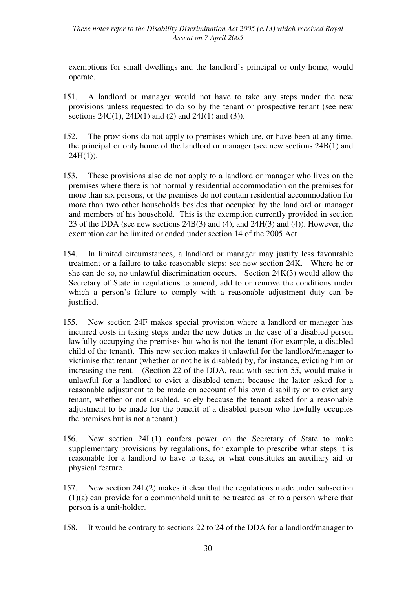exemptions for small dwellings and the landlord's principal or only home, would operate.

- 151. A landlord or manager would not have to take any steps under the new provisions unless requested to do so by the tenant or prospective tenant (see new sections  $24C(1)$ ,  $24D(1)$  and  $(2)$  and  $24J(1)$  and  $(3)$ ).
- 152. The provisions do not apply to premises which are, or have been at any time, the principal or only home of the landlord or manager (see new sections 24B(1) and  $24H(1)$ ).
- 153. These provisions also do not apply to a landlord or manager who lives on the premises where there is not normally residential accommodation on the premises for more than six persons, or the premises do not contain residential accommodation for more than two other households besides that occupied by the landlord or manager and members of his household. This is the exemption currently provided in section 23 of the DDA (see new sections 24B(3) and (4), and 24H(3) and (4)). However, the exemption can be limited or ended under section 14 of the 2005 Act.
- 154. In limited circumstances, a landlord or manager may justify less favourable treatment or a failure to take reasonable steps: see new section 24K. Where he or she can do so, no unlawful discrimination occurs. Section 24K(3) would allow the Secretary of State in regulations to amend, add to or remove the conditions under which a person's failure to comply with a reasonable adjustment duty can be justified.
- 155. New section 24F makes special provision where a landlord or manager has incurred costs in taking steps under the new duties in the case of a disabled person lawfully occupying the premises but who is not the tenant (for example, a disabled child of the tenant). This new section makes it unlawful for the landlord/manager to victimise that tenant (whether or not he is disabled) by, for instance, evicting him or increasing the rent. (Section 22 of the DDA, read with section 55, would make it unlawful for a landlord to evict a disabled tenant because the latter asked for a reasonable adjustment to be made on account of his own disability or to evict any tenant, whether or not disabled, solely because the tenant asked for a reasonable adjustment to be made for the benefit of a disabled person who lawfully occupies the premises but is not a tenant.)
- 156. New section 24L(1) confers power on the Secretary of State to make supplementary provisions by regulations, for example to prescribe what steps it is reasonable for a landlord to have to take, or what constitutes an auxiliary aid or physical feature.
- 157. New section 24L(2) makes it clear that the regulations made under subsection (1)(a) can provide for a commonhold unit to be treated as let to a person where that person is a unit-holder.
- 158. It would be contrary to sections 22 to 24 of the DDA for a landlord/manager to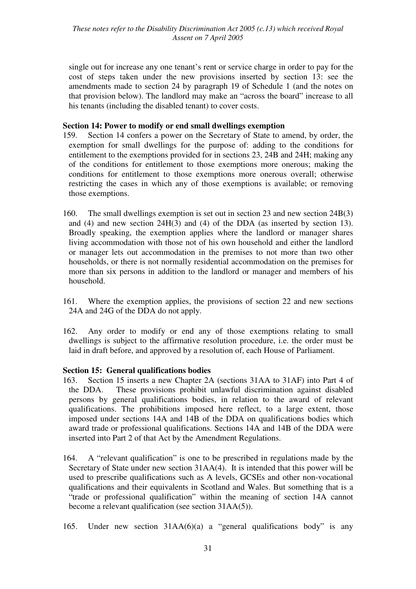single out for increase any one tenant's rent or service charge in order to pay for the cost of steps taken under the new provisions inserted by section 13: see the amendments made to section 24 by paragraph 19 of Schedule 1 (and the notes on that provision below). The landlord may make an "across the board" increase to all his tenants (including the disabled tenant) to cover costs.

#### **Section 14: Power to modify or end small dwellings exemption**

- 159. Section 14 confers a power on the Secretary of State to amend, by order, the exemption for small dwellings for the purpose of: adding to the conditions for entitlement to the exemptions provided for in sections 23, 24B and 24H; making any of the conditions for entitlement to those exemptions more onerous; making the conditions for entitlement to those exemptions more onerous overall; otherwise restricting the cases in which any of those exemptions is available; or removing those exemptions.
- 160. The small dwellings exemption is set out in section 23 and new section 24B(3) and (4) and new section 24H(3) and (4) of the DDA (as inserted by section 13). Broadly speaking, the exemption applies where the landlord or manager shares living accommodation with those not of his own household and either the landlord or manager lets out accommodation in the premises to not more than two other households, or there is not normally residential accommodation on the premises for more than six persons in addition to the landlord or manager and members of his household.
- 161. Where the exemption applies, the provisions of section 22 and new sections 24A and 24G of the DDA do not apply.
- 162. Any order to modify or end any of those exemptions relating to small dwellings is subject to the affirmative resolution procedure, i.e. the order must be laid in draft before, and approved by a resolution of, each House of Parliament.

## **Section 15: General qualifications bodies**

- 163. Section 15 inserts a new Chapter 2A (sections 31AA to 31AF) into Part 4 of the DDA. These provisions prohibit unlawful discrimination against disabled persons by general qualifications bodies, in relation to the award of relevant qualifications. The prohibitions imposed here reflect, to a large extent, those imposed under sections 14A and 14B of the DDA on qualifications bodies which award trade or professional qualifications. Sections 14A and 14B of the DDA were inserted into Part 2 of that Act by the Amendment Regulations.
- 164. A "relevant qualification" is one to be prescribed in regulations made by the Secretary of State under new section 31AA(4). It is intended that this power will be used to prescribe qualifications such as A levels, GCSEs and other non-vocational qualifications and their equivalents in Scotland and Wales. But something that is a "trade or professional qualification" within the meaning of section 14A cannot become a relevant qualification (see section 31AA(5)).
- 165. Under new section 31AA(6)(a) a "general qualifications body" is any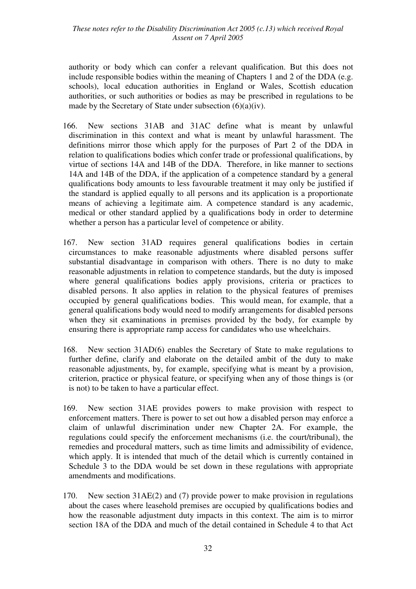*These notes refer to the Disability Discrimination Act 2005 (c.13) which received Royal Assent on 7 April 2005* 

authority or body which can confer a relevant qualification. But this does not include responsible bodies within the meaning of Chapters 1 and 2 of the DDA (e.g. schools), local education authorities in England or Wales, Scottish education authorities, or such authorities or bodies as may be prescribed in regulations to be made by the Secretary of State under subsection  $(6)(a)(iv)$ .

- 166. New sections 31AB and 31AC define what is meant by unlawful discrimination in this context and what is meant by unlawful harassment. The definitions mirror those which apply for the purposes of Part 2 of the DDA in relation to qualifications bodies which confer trade or professional qualifications, by virtue of sections 14A and 14B of the DDA. Therefore, in like manner to sections 14A and 14B of the DDA, if the application of a competence standard by a general qualifications body amounts to less favourable treatment it may only be justified if the standard is applied equally to all persons and its application is a proportionate means of achieving a legitimate aim. A competence standard is any academic, medical or other standard applied by a qualifications body in order to determine whether a person has a particular level of competence or ability.
- 167. New section 31AD requires general qualifications bodies in certain circumstances to make reasonable adjustments where disabled persons suffer substantial disadvantage in comparison with others. There is no duty to make reasonable adjustments in relation to competence standards, but the duty is imposed where general qualifications bodies apply provisions, criteria or practices to disabled persons. It also applies in relation to the physical features of premises occupied by general qualifications bodies. This would mean, for example, that a general qualifications body would need to modify arrangements for disabled persons when they sit examinations in premises provided by the body, for example by ensuring there is appropriate ramp access for candidates who use wheelchairs.
- 168. New section 31AD(6) enables the Secretary of State to make regulations to further define, clarify and elaborate on the detailed ambit of the duty to make reasonable adjustments, by, for example, specifying what is meant by a provision, criterion, practice or physical feature, or specifying when any of those things is (or is not) to be taken to have a particular effect.
- 169. New section 31AE provides powers to make provision with respect to enforcement matters. There is power to set out how a disabled person may enforce a claim of unlawful discrimination under new Chapter 2A. For example, the regulations could specify the enforcement mechanisms (i.e. the court/tribunal), the remedies and procedural matters, such as time limits and admissibility of evidence, which apply. It is intended that much of the detail which is currently contained in Schedule 3 to the DDA would be set down in these regulations with appropriate amendments and modifications.
- 170. New section 31AE(2) and (7) provide power to make provision in regulations about the cases where leasehold premises are occupied by qualifications bodies and how the reasonable adjustment duty impacts in this context. The aim is to mirror section 18A of the DDA and much of the detail contained in Schedule 4 to that Act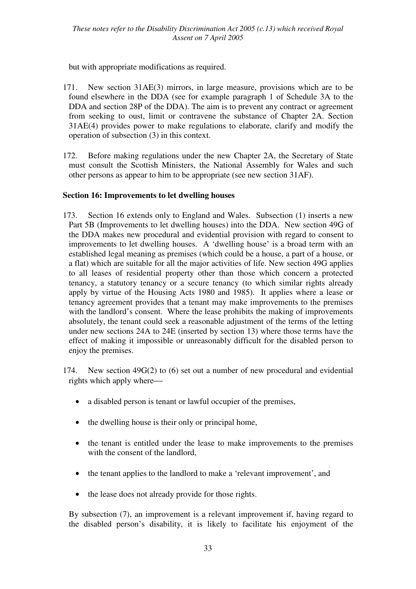but with appropriate modifications as required.

- 171. New section 31AE(3) mirrors, in large measure, provisions which are to be found elsewhere in the DDA (see for example paragraph 1 of Schedule 3A to the DDA and section 28P of the DDA). The aim is to prevent any contract or agreement from seeking to oust, limit or contravene the substance of Chapter 2A. Section 31AE(4) provides power to make regulations to elaborate, clarify and modify the operation of subsection (3) in this context.
- 172. Before making regulations under the new Chapter 2A, the Secretary of State must consult the Scottish Ministers, the National Assembly for Wales and such other persons as appear to him to be appropriate (see new section 31AF).

## **Section 16: Improvements to let dwelling houses**

- 173. Section 16 extends only to England and Wales. Subsection (1) inserts a new Part 5B (Improvements to let dwelling houses) into the DDA. New section 49G of the DDA makes new procedural and evidential provision with regard to consent to improvements to let dwelling houses. A 'dwelling house' is a broad term with an established legal meaning as premises (which could be a house, a part of a house, or a flat) which are suitable for all the major activities of life. New section 49G applies to all leases of residential property other than those which concern a protected tenancy, a statutory tenancy or a secure tenancy (to which similar rights already apply by virtue of the Housing Acts 1980 and 1985). It applies where a lease or tenancy agreement provides that a tenant may make improvements to the premises with the landlord's consent. Where the lease prohibits the making of improvements absolutely, the tenant could seek a reasonable adjustment of the terms of the letting under new sections 24A to 24E (inserted by section 13) where those terms have the effect of making it impossible or unreasonably difficult for the disabled person to enjoy the premises.
- 174. New section 49G(2) to (6) set out a number of new procedural and evidential rights which apply where-
	- a disabled person is tenant or lawful occupier of the premises,
	- the dwelling house is their only or principal home,
	- the tenant is entitled under the lease to make improvements to the premises with the consent of the landlord,
	- the tenant applies to the landlord to make a 'relevant improvement', and
	- the lease does not already provide for those rights.

By subsection (7), an improvement is a relevant improvement if, having regard to the disabled person's disability, it is likely to facilitate his enjoyment of the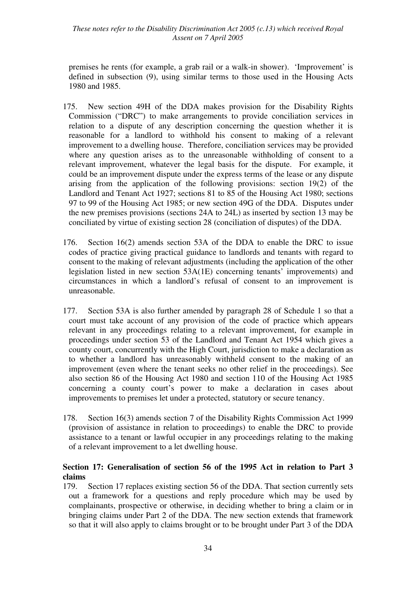#### *These notes refer to the Disability Discrimination Act 2005 (c.13) which received Royal Assent on 7 April 2005*

premises he rents (for example, a grab rail or a walk-in shower). 'Improvement' is defined in subsection (9), using similar terms to those used in the Housing Acts 1980 and 1985.

- 175. New section 49H of the DDA makes provision for the Disability Rights Commission ("DRC") to make arrangements to provide conciliation services in relation to a dispute of any description concerning the question whether it is reasonable for a landlord to withhold his consent to making of a relevant improvement to a dwelling house. Therefore, conciliation services may be provided where any question arises as to the unreasonable withholding of consent to a relevant improvement, whatever the legal basis for the dispute. For example, it could be an improvement dispute under the express terms of the lease or any dispute arising from the application of the following provisions: section 19(2) of the Landlord and Tenant Act 1927; sections 81 to 85 of the Housing Act 1980; sections 97 to 99 of the Housing Act 1985; or new section 49G of the DDA. Disputes under the new premises provisions (sections 24A to 24L) as inserted by section 13 may be conciliated by virtue of existing section 28 (conciliation of disputes) of the DDA.
- 176. Section 16(2) amends section 53A of the DDA to enable the DRC to issue codes of practice giving practical guidance to landlords and tenants with regard to consent to the making of relevant adjustments (including the application of the other legislation listed in new section 53A(1E) concerning tenants' improvements) and circumstances in which a landlord's refusal of consent to an improvement is unreasonable.
- 177. Section 53A is also further amended by paragraph 28 of Schedule 1 so that a court must take account of any provision of the code of practice which appears relevant in any proceedings relating to a relevant improvement, for example in proceedings under section 53 of the Landlord and Tenant Act 1954 which gives a county court, concurrently with the High Court, jurisdiction to make a declaration as to whether a landlord has unreasonably withheld consent to the making of an improvement (even where the tenant seeks no other relief in the proceedings). See also section 86 of the Housing Act 1980 and section 110 of the Housing Act 1985 concerning a county court's power to make a declaration in cases about improvements to premises let under a protected, statutory or secure tenancy.
- 178. Section 16(3) amends section 7 of the Disability Rights Commission Act 1999 (provision of assistance in relation to proceedings) to enable the DRC to provide assistance to a tenant or lawful occupier in any proceedings relating to the making of a relevant improvement to a let dwelling house.

## **Section 17: Generalisation of section 56 of the 1995 Act in relation to Part 3 claims**

179. Section 17 replaces existing section 56 of the DDA. That section currently sets out a framework for a questions and reply procedure which may be used by complainants, prospective or otherwise, in deciding whether to bring a claim or in bringing claims under Part 2 of the DDA. The new section extends that framework so that it will also apply to claims brought or to be brought under Part 3 of the DDA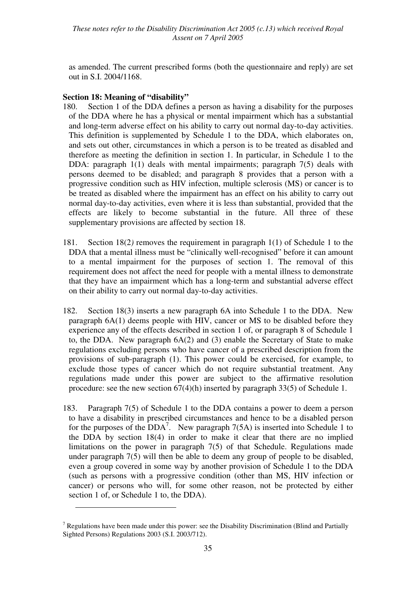as amended. The current prescribed forms (both the questionnaire and reply) are set out in S.I. 2004/1168.

## **Section 18: Meaning of "disability"**

 $\overline{a}$ 

- 180. Section 1 of the DDA defines a person as having a disability for the purposes of the DDA where he has a physical or mental impairment which has a substantial and long-term adverse effect on his ability to carry out normal day-to-day activities. This definition is supplemented by Schedule 1 to the DDA, which elaborates on, and sets out other, circumstances in which a person is to be treated as disabled and therefore as meeting the definition in section 1. In particular, in Schedule 1 to the DDA: paragraph 1(1) deals with mental impairments; paragraph 7(5) deals with persons deemed to be disabled; and paragraph 8 provides that a person with a progressive condition such as HIV infection, multiple sclerosis (MS) or cancer is to be treated as disabled where the impairment has an effect on his ability to carry out normal day-to-day activities, even where it is less than substantial, provided that the effects are likely to become substantial in the future. All three of these supplementary provisions are affected by section 18.
- 181. Section 18(2*)* removes the requirement in paragraph 1(1) of Schedule 1 to the DDA that a mental illness must be "clinically well-recognised" before it can amount to a mental impairment for the purposes of section 1. The removal of this requirement does not affect the need for people with a mental illness to demonstrate that they have an impairment which has a long-term and substantial adverse effect on their ability to carry out normal day-to-day activities.
- 182. Section 18(3) inserts a new paragraph 6A into Schedule 1 to the DDA. New paragraph 6A(1) deems people with HIV, cancer or MS to be disabled before they experience any of the effects described in section 1 of, or paragraph 8 of Schedule 1 to, the DDA. New paragraph 6A(2) and (3) enable the Secretary of State to make regulations excluding persons who have cancer of a prescribed description from the provisions of sub-paragraph (1). This power could be exercised, for example, to exclude those types of cancer which do not require substantial treatment. Any regulations made under this power are subject to the affirmative resolution procedure: see the new section 67(4)(h) inserted by paragraph 33(5) of Schedule 1.
- 183. Paragraph 7(5) of Schedule 1 to the DDA contains a power to deem a person to have a disability in prescribed circumstances and hence to be a disabled person for the purposes of the  $DDA^7$ . New paragraph 7(5A) is inserted into Schedule 1 to the DDA by section 18(4) in order to make it clear that there are no implied limitations on the power in paragraph 7(5) of that Schedule. Regulations made under paragraph 7(5) will then be able to deem any group of people to be disabled, even a group covered in some way by another provision of Schedule 1 to the DDA (such as persons with a progressive condition (other than MS, HIV infection or cancer) or persons who will, for some other reason, not be protected by either section 1 of, or Schedule 1 to, the DDA).

<sup>&</sup>lt;sup>7</sup> Regulations have been made under this power: see the Disability Discrimination (Blind and Partially Sighted Persons) Regulations 2003 (S.I. 2003/712).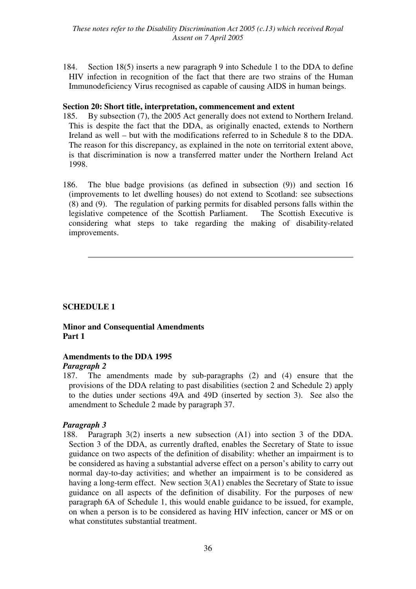184. Section 18(5) inserts a new paragraph 9 into Schedule 1 to the DDA to define HIV infection in recognition of the fact that there are two strains of the Human Immunodeficiency Virus recognised as capable of causing AIDS in human beings.

#### **Section 20: Short title, interpretation, commencement and extent**

- 185. By subsection (7), the 2005 Act generally does not extend to Northern Ireland. This is despite the fact that the DDA, as originally enacted, extends to Northern Ireland as well – but with the modifications referred to in Schedule 8 to the DDA. The reason for this discrepancy, as explained in the note on territorial extent above, is that discrimination is now a transferred matter under the Northern Ireland Act 1998.
- 186. The blue badge provisions (as defined in subsection (9)) and section 16 (improvements to let dwelling houses) do not extend to Scotland: see subsections (8) and (9). The regulation of parking permits for disabled persons falls within the legislative competence of the Scottish Parliament. The Scottish Executive is considering what steps to take regarding the making of disability-related improvements.

#### **SCHEDULE 1**

## **Minor and Consequential Amendments Part 1**

#### **Amendments to the DDA 1995**

#### *Paragraph 2*

187. The amendments made by sub-paragraphs (2) and (4) ensure that the provisions of the DDA relating to past disabilities (section 2 and Schedule 2) apply to the duties under sections 49A and 49D (inserted by section 3). See also the amendment to Schedule 2 made by paragraph 37.

#### *Paragraph 3*

188. Paragraph 3(2) inserts a new subsection (A1) into section 3 of the DDA. Section 3 of the DDA, as currently drafted, enables the Secretary of State to issue guidance on two aspects of the definition of disability: whether an impairment is to be considered as having a substantial adverse effect on a person's ability to carry out normal day-to-day activities; and whether an impairment is to be considered as having a long-term effect. New section 3(A1) enables the Secretary of State to issue guidance on all aspects of the definition of disability. For the purposes of new paragraph 6A of Schedule 1, this would enable guidance to be issued, for example, on when a person is to be considered as having HIV infection, cancer or MS or on what constitutes substantial treatment.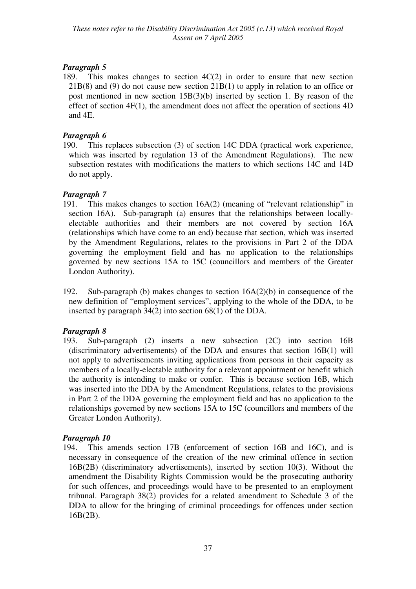189. This makes changes to section 4C(2) in order to ensure that new section 21B(8) and (9) do not cause new section 21B(1) to apply in relation to an office or post mentioned in new section 15B(3)(b) inserted by section 1. By reason of the effect of section 4F(1), the amendment does not affect the operation of sections 4D and 4E.

## *Paragraph 6*

190. This replaces subsection (3) of section 14C DDA (practical work experience, which was inserted by regulation 13 of the Amendment Regulations). The new subsection restates with modifications the matters to which sections 14C and 14D do not apply.

## *Paragraph 7*

- 191. This makes changes to section 16A(2) (meaning of "relevant relationship" in section 16A). Sub-paragraph (a) ensures that the relationships between locallyelectable authorities and their members are not covered by section 16A (relationships which have come to an end) because that section, which was inserted by the Amendment Regulations, relates to the provisions in Part 2 of the DDA governing the employment field and has no application to the relationships governed by new sections 15A to 15C (councillors and members of the Greater London Authority).
- 192. Sub-paragraph (b) makes changes to section 16A(2)(b) in consequence of the new definition of "employment services", applying to the whole of the DDA, to be inserted by paragraph 34(2) into section 68(1) of the DDA.

## *Paragraph 8*

193. Sub-paragraph (2) inserts a new subsection (2C) into section 16B (discriminatory advertisements) of the DDA and ensures that section 16B(1) will not apply to advertisements inviting applications from persons in their capacity as members of a locally-electable authority for a relevant appointment or benefit which the authority is intending to make or confer. This is because section 16B, which was inserted into the DDA by the Amendment Regulations, relates to the provisions in Part 2 of the DDA governing the employment field and has no application to the relationships governed by new sections 15A to 15C (councillors and members of the Greater London Authority).

## *Paragraph 10*

194. This amends section 17B (enforcement of section 16B and 16C), and is necessary in consequence of the creation of the new criminal offence in section 16B(2B) (discriminatory advertisements), inserted by section 10(3). Without the amendment the Disability Rights Commission would be the prosecuting authority for such offences, and proceedings would have to be presented to an employment tribunal. Paragraph 38(2) provides for a related amendment to Schedule 3 of the DDA to allow for the bringing of criminal proceedings for offences under section 16B(2B).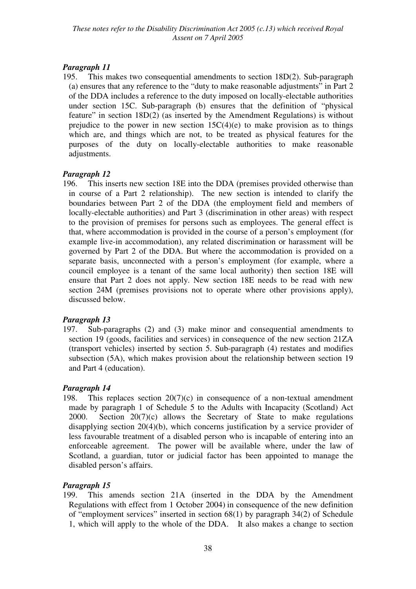195. This makes two consequential amendments to section 18D(2). Sub-paragraph (a) ensures that any reference to the "duty to make reasonable adjustments" in Part 2 of the DDA includes a reference to the duty imposed on locally-electable authorities under section 15C. Sub-paragraph (b) ensures that the definition of "physical feature" in section 18D(2) (as inserted by the Amendment Regulations) is without prejudice to the power in new section  $15C(4)(e)$  to make provision as to things which are, and things which are not, to be treated as physical features for the purposes of the duty on locally-electable authorities to make reasonable adjustments.

## *Paragraph 12*

196. This inserts new section 18E into the DDA (premises provided otherwise than in course of a Part 2 relationship). The new section is intended to clarify the boundaries between Part 2 of the DDA (the employment field and members of locally-electable authorities) and Part 3 (discrimination in other areas) with respect to the provision of premises for persons such as employees. The general effect is that, where accommodation is provided in the course of a person's employment (for example live-in accommodation), any related discrimination or harassment will be governed by Part 2 of the DDA. But where the accommodation is provided on a separate basis, unconnected with a person's employment (for example, where a council employee is a tenant of the same local authority) then section 18E will ensure that Part 2 does not apply. New section 18E needs to be read with new section 24M (premises provisions not to operate where other provisions apply), discussed below.

## *Paragraph 13*

197. Sub-paragraphs (2) and (3) make minor and consequential amendments to section 19 (goods, facilities and services) in consequence of the new section 21ZA (transport vehicles) inserted by section 5. Sub-paragraph (4) restates and modifies subsection (5A), which makes provision about the relationship between section 19 and Part 4 (education).

## *Paragraph 14*

198. This replaces section  $20(7)(c)$  in consequence of a non-textual amendment made by paragraph 1 of Schedule 5 to the Adults with Incapacity (Scotland) Act 2000. Section 20(7)(c) allows the Secretary of State to make regulations disapplying section 20(4)(b), which concerns justification by a service provider of less favourable treatment of a disabled person who is incapable of entering into an enforceable agreement. The power will be available where, under the law of Scotland, a guardian, tutor or judicial factor has been appointed to manage the disabled person's affairs.

## *Paragraph 15*

199. This amends section 21A (inserted in the DDA by the Amendment Regulations with effect from 1 October 2004) in consequence of the new definition of "employment services" inserted in section 68(1) by paragraph 34(2) of Schedule 1, which will apply to the whole of the DDA. It also makes a change to section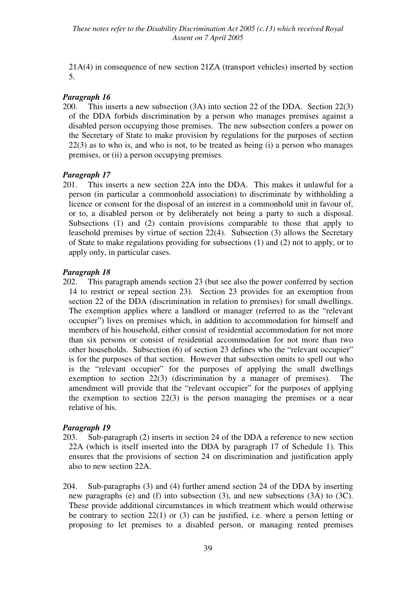21A(4) in consequence of new section 21ZA (transport vehicles) inserted by section 5.

#### *Paragraph 16*

200. This inserts a new subsection (3A) into section 22 of the DDA. Section 22(3) of the DDA forbids discrimination by a person who manages premises against a disabled person occupying those premises. The new subsection confers a power on the Secretary of State to make provision by regulations for the purposes of section 22(3) as to who is, and who is not, to be treated as being (i) a person who manages premises, or (ii) a person occupying premises.

#### *Paragraph 17*

201. This inserts a new section 22A into the DDA. This makes it unlawful for a person (in particular a commonhold association) to discriminate by withholding a licence or consent for the disposal of an interest in a commonhold unit in favour of, or to, a disabled person or by deliberately not being a party to such a disposal. Subsections (1) and (2) contain provisions comparable to those that apply to leasehold premises by virtue of section 22(4). Subsection (3) allows the Secretary of State to make regulations providing for subsections (1) and (2) not to apply, or to apply only, in particular cases.

#### *Paragraph 18*

202. This paragraph amends section 23 (but see also the power conferred by section 14 to restrict or repeal section 23). Section 23 provides for an exemption from section 22 of the DDA (discrimination in relation to premises) for small dwellings. The exemption applies where a landlord or manager (referred to as the "relevant occupier") lives on premises which, in addition to accommodation for himself and members of his household, either consist of residential accommodation for not more than six persons or consist of residential accommodation for not more than two other households. Subsection (6) of section 23 defines who the "relevant occupier" is for the purposes of that section. However that subsection omits to spell out who is the "relevant occupier" for the purposes of applying the small dwellings exemption to section 22(3) (discrimination by a manager of premises). The amendment will provide that the "relevant occupier" for the purposes of applying the exemption to section  $22(3)$  is the person managing the premises or a near relative of his.

#### *Paragraph 19*

- 203. Sub-paragraph (2) inserts in section 24 of the DDA a reference to new section 22A (which is itself inserted into the DDA by paragraph 17 of Schedule 1). This ensures that the provisions of section 24 on discrimination and justification apply also to new section 22A.
- 204. Sub-paragraphs (3) and (4) further amend section 24 of the DDA by inserting new paragraphs (e) and (f) into subsection (3), and new subsections (3A) to (3C). These provide additional circumstances in which treatment which would otherwise be contrary to section 22(1) or (3) can be justified, i.e. where a person letting or proposing to let premises to a disabled person, or managing rented premises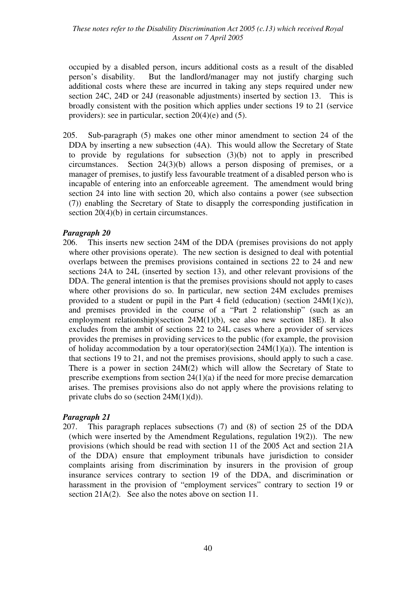occupied by a disabled person, incurs additional costs as a result of the disabled person's disability. But the landlord/manager may not justify charging such additional costs where these are incurred in taking any steps required under new section 24C, 24D or 24J (reasonable adjustments) inserted by section 13. This is broadly consistent with the position which applies under sections 19 to 21 (service providers): see in particular, section 20(4)(e) and (5).

205. Sub-paragraph (5) makes one other minor amendment to section 24 of the DDA by inserting a new subsection (4A). This would allow the Secretary of State to provide by regulations for subsection (3)(b) not to apply in prescribed circumstances. Section 24(3)(b) allows a person disposing of premises, or a manager of premises, to justify less favourable treatment of a disabled person who is incapable of entering into an enforceable agreement. The amendment would bring section 24 into line with section 20, which also contains a power (see subsection (7)) enabling the Secretary of State to disapply the corresponding justification in section 20(4)(b) in certain circumstances.

#### *Paragraph 20*

206. This inserts new section 24M of the DDA (premises provisions do not apply where other provisions operate). The new section is designed to deal with potential overlaps between the premises provisions contained in sections 22 to 24 and new sections 24A to 24L (inserted by section 13), and other relevant provisions of the DDA. The general intention is that the premises provisions should not apply to cases where other provisions do so. In particular, new section 24M excludes premises provided to a student or pupil in the Part 4 field (education) (section  $24M(1)(c)$ ), and premises provided in the course of a "Part 2 relationship" (such as an employment relationship)(section 24M(1)(b), see also new section 18E). It also excludes from the ambit of sections 22 to 24L cases where a provider of services provides the premises in providing services to the public (for example, the provision of holiday accommodation by a tour operator)(section  $24M(1)(a)$ ). The intention is that sections 19 to 21, and not the premises provisions, should apply to such a case. There is a power in section 24M(2) which will allow the Secretary of State to prescribe exemptions from section 24(1)(a) if the need for more precise demarcation arises. The premises provisions also do not apply where the provisions relating to private clubs do so (section  $24M(1)(d)$ ).

#### *Paragraph 21*

207. This paragraph replaces subsections (7) and (8) of section 25 of the DDA (which were inserted by the Amendment Regulations, regulation 19(2)). The new provisions (which should be read with section 11 of the 2005 Act and section 21A of the DDA) ensure that employment tribunals have jurisdiction to consider complaints arising from discrimination by insurers in the provision of group insurance services contrary to section 19 of the DDA, and discrimination or harassment in the provision of "employment services" contrary to section 19 or section 21A(2). See also the notes above on section 11.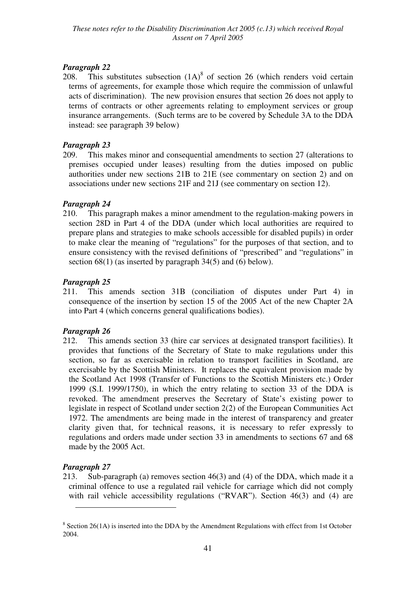208. This substitutes subsection  $(1A)^8$  of section 26 (which renders void certain terms of agreements, for example those which require the commission of unlawful acts of discrimination). The new provision ensures that section 26 does not apply to terms of contracts or other agreements relating to employment services or group insurance arrangements. (Such terms are to be covered by Schedule 3A to the DDA instead: see paragraph 39 below)

## *Paragraph 23*

209. This makes minor and consequential amendments to section 27 (alterations to premises occupied under leases) resulting from the duties imposed on public authorities under new sections 21B to 21E (see commentary on section 2) and on associations under new sections 21F and 21J (see commentary on section 12).

## *Paragraph 24*

210. This paragraph makes a minor amendment to the regulation-making powers in section 28D in Part 4 of the DDA (under which local authorities are required to prepare plans and strategies to make schools accessible for disabled pupils) in order to make clear the meaning of "regulations" for the purposes of that section, and to ensure consistency with the revised definitions of "prescribed" and "regulations" in section 68(1) (as inserted by paragraph 34(5) and (6) below).

## *Paragraph 25*

211. This amends section 31B (conciliation of disputes under Part 4) in consequence of the insertion by section 15 of the 2005 Act of the new Chapter 2A into Part 4 (which concerns general qualifications bodies).

## *Paragraph 26*

212. This amends section 33 (hire car services at designated transport facilities). It provides that functions of the Secretary of State to make regulations under this section, so far as exercisable in relation to transport facilities in Scotland, are exercisable by the Scottish Ministers. It replaces the equivalent provision made by the Scotland Act 1998 (Transfer of Functions to the Scottish Ministers etc.) Order 1999 (S.I. 1999/1750), in which the entry relating to section 33 of the DDA is revoked. The amendment preserves the Secretary of State's existing power to legislate in respect of Scotland under section 2(2) of the European Communities Act 1972. The amendments are being made in the interest of transparency and greater clarity given that, for technical reasons, it is necessary to refer expressly to regulations and orders made under section 33 in amendments to sections 67 and 68 made by the 2005 Act.

## *Paragraph 27*

 $\overline{a}$ 

213. Sub-paragraph (a) removes section 46(3) and (4) of the DDA, which made it a criminal offence to use a regulated rail vehicle for carriage which did not comply with rail vehicle accessibility regulations ("RVAR"). Section 46(3) and (4) are

 $8$  Section 26(1A) is inserted into the DDA by the Amendment Regulations with effect from 1st October 2004.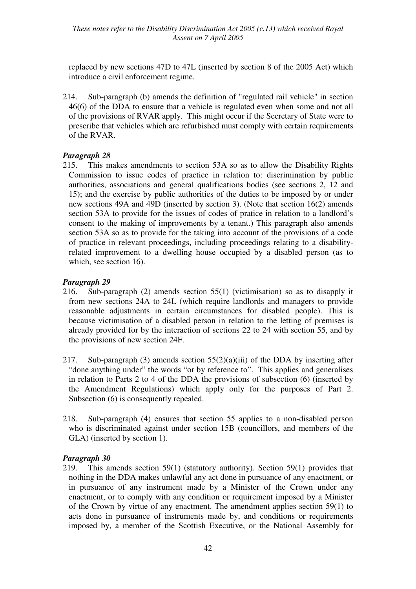replaced by new sections 47D to 47L (inserted by section 8 of the 2005 Act) which introduce a civil enforcement regime.

214. Sub-paragraph (b) amends the definition of "regulated rail vehicle" in section 46(6) of the DDA to ensure that a vehicle is regulated even when some and not all of the provisions of RVAR apply. This might occur if the Secretary of State were to prescribe that vehicles which are refurbished must comply with certain requirements of the RVAR.

## *Paragraph 28*

215. This makes amendments to section 53A so as to allow the Disability Rights Commission to issue codes of practice in relation to: discrimination by public authorities, associations and general qualifications bodies (see sections 2, 12 and 15); and the exercise by public authorities of the duties to be imposed by or under new sections 49A and 49D (inserted by section 3). (Note that section 16(2) amends section 53A to provide for the issues of codes of pratice in relation to a landlord's consent to the making of improvements by a tenant.) This paragraph also amends section 53A so as to provide for the taking into account of the provisions of a code of practice in relevant proceedings, including proceedings relating to a disabilityrelated improvement to a dwelling house occupied by a disabled person (as to which, see section 16).

## *Paragraph 29*

- 216. Sub-paragraph (2) amends section 55(1) (victimisation) so as to disapply it from new sections 24A to 24L (which require landlords and managers to provide reasonable adjustments in certain circumstances for disabled people). This is because victimisation of a disabled person in relation to the letting of premises is already provided for by the interaction of sections 22 to 24 with section 55, and by the provisions of new section 24F.
- 217. Sub-paragraph (3) amends section  $55(2)(a)(iii)$  of the DDA by inserting after "done anything under" the words "or by reference to". This applies and generalises in relation to Parts 2 to 4 of the DDA the provisions of subsection (6) (inserted by the Amendment Regulations) which apply only for the purposes of Part 2. Subsection (6) is consequently repealed.
- 218. Sub-paragraph (4) ensures that section 55 applies to a non-disabled person who is discriminated against under section 15B (councillors, and members of the GLA) (inserted by section 1).

## *Paragraph 30*

219. This amends section 59(1) (statutory authority). Section 59(1) provides that nothing in the DDA makes unlawful any act done in pursuance of any enactment, or in pursuance of any instrument made by a Minister of the Crown under any enactment, or to comply with any condition or requirement imposed by a Minister of the Crown by virtue of any enactment. The amendment applies section 59(1) to acts done in pursuance of instruments made by, and conditions or requirements imposed by, a member of the Scottish Executive, or the National Assembly for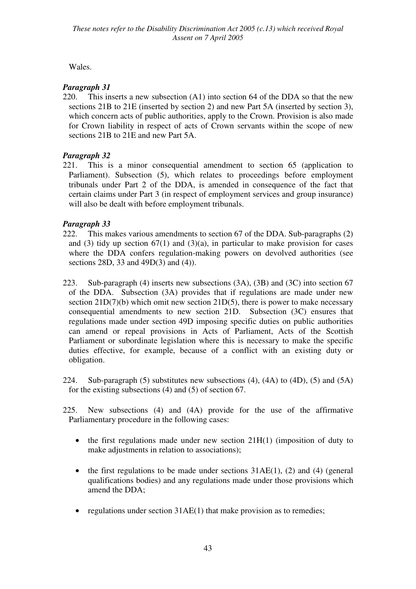Wales.

## *Paragraph 31*

220. This inserts a new subsection (A1) into section 64 of the DDA so that the new sections 21B to 21E (inserted by section 2) and new Part 5A (inserted by section 3), which concern acts of public authorities, apply to the Crown. Provision is also made for Crown liability in respect of acts of Crown servants within the scope of new sections 21B to 21E and new Part 5A.

## *Paragraph 32*

221. This is a minor consequential amendment to section 65 (application to Parliament). Subsection (5), which relates to proceedings before employment tribunals under Part 2 of the DDA, is amended in consequence of the fact that certain claims under Part 3 (in respect of employment services and group insurance) will also be dealt with before employment tribunals.

## *Paragraph 33*

- 222. This makes various amendments to section 67 of the DDA. Sub-paragraphs (2) and (3) tidy up section  $67(1)$  and  $(3)(a)$ , in particular to make provision for cases where the DDA confers regulation-making powers on devolved authorities (see sections 28D, 33 and 49D(3) and (4)).
- 223. Sub-paragraph (4) inserts new subsections (3A), (3B) and (3C) into section 67 of the DDA. Subsection (3A) provides that if regulations are made under new section  $21D(7)(b)$  which omit new section  $21D(5)$ , there is power to make necessary consequential amendments to new section 21D. Subsection (3C) ensures that regulations made under section 49D imposing specific duties on public authorities can amend or repeal provisions in Acts of Parliament, Acts of the Scottish Parliament or subordinate legislation where this is necessary to make the specific duties effective, for example, because of a conflict with an existing duty or obligation.
- 224. Sub-paragraph (5) substitutes new subsections (4), (4A) to (4D), (5) and (5A) for the existing subsections (4) and (5) of section 67.
- 225. New subsections (4) and (4A) provide for the use of the affirmative Parliamentary procedure in the following cases:
	- the first regulations made under new section  $21H(1)$  (imposition of duty to make adjustments in relation to associations);
	- the first regulations to be made under sections  $31AE(1)$ , (2) and (4) (general qualifications bodies) and any regulations made under those provisions which amend the DDA;
	- regulations under section  $31AE(1)$  that make provision as to remedies;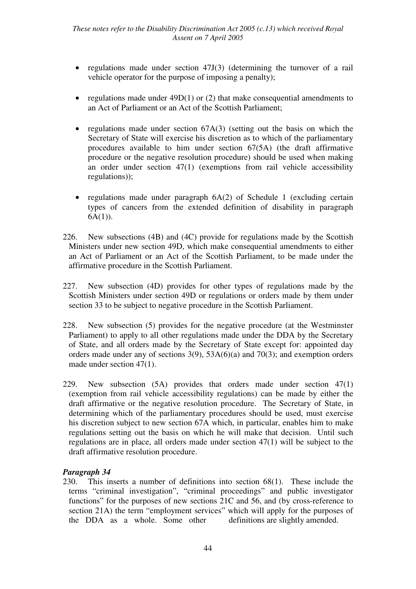- regulations made under section 47J(3) (determining the turnover of a rail vehicle operator for the purpose of imposing a penalty);
- regulations made under  $49D(1)$  or (2) that make consequential amendments to an Act of Parliament or an Act of the Scottish Parliament;
- regulations made under section 67A(3) (setting out the basis on which the Secretary of State will exercise his discretion as to which of the parliamentary procedures available to him under section 67(5A) (the draft affirmative procedure or the negative resolution procedure) should be used when making an order under section 47(1) (exemptions from rail vehicle accessibility regulations));
- regulations made under paragraph  $6A(2)$  of Schedule 1 (excluding certain types of cancers from the extended definition of disability in paragraph  $6A(1)$ ).
- 226. New subsections (4B) and (4C) provide for regulations made by the Scottish Ministers under new section 49D, which make consequential amendments to either an Act of Parliament or an Act of the Scottish Parliament, to be made under the affirmative procedure in the Scottish Parliament.
- 227. New subsection (4D) provides for other types of regulations made by the Scottish Ministers under section 49D or regulations or orders made by them under section 33 to be subject to negative procedure in the Scottish Parliament.
- 228. New subsection (5) provides for the negative procedure (at the Westminster Parliament) to apply to all other regulations made under the DDA by the Secretary of State, and all orders made by the Secretary of State except for: appointed day orders made under any of sections 3(9), 53A(6)(a) and 70(3); and exemption orders made under section 47(1).
- 229. New subsection (5A) provides that orders made under section 47(1) (exemption from rail vehicle accessibility regulations) can be made by either the draft affirmative or the negative resolution procedure. The Secretary of State, in determining which of the parliamentary procedures should be used, must exercise his discretion subject to new section 67A which, in particular, enables him to make regulations setting out the basis on which he will make that decision. Until such regulations are in place, all orders made under section 47(1) will be subject to the draft affirmative resolution procedure.

230. This inserts a number of definitions into section 68(1). These include the terms "criminal investigation", "criminal proceedings" and public investigator functions" for the purposes of new sections 21C and 56, and (by cross-reference to section 21A) the term "employment services" which will apply for the purposes of the DDA as a whole. Some other definitions are slightly amended.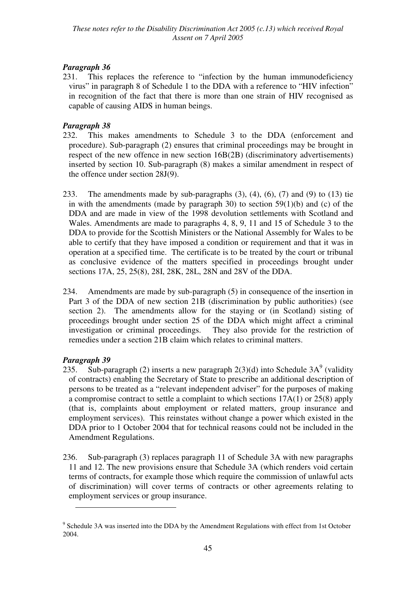231. This replaces the reference to "infection by the human immunodeficiency virus" in paragraph 8 of Schedule 1 to the DDA with a reference to "HIV infection" in recognition of the fact that there is more than one strain of HIV recognised as capable of causing AIDS in human beings.

## *Paragraph 38*

- 232. This makes amendments to Schedule 3 to the DDA (enforcement and procedure). Sub-paragraph (2) ensures that criminal proceedings may be brought in respect of the new offence in new section 16B(2B) (discriminatory advertisements) inserted by section 10. Sub-paragraph (8) makes a similar amendment in respect of the offence under section 28J(9).
- 233. The amendments made by sub-paragraphs (3), (4), (6), (7) and (9) to (13) tie in with the amendments (made by paragraph 30) to section  $59(1)(b)$  and (c) of the DDA and are made in view of the 1998 devolution settlements with Scotland and Wales. Amendments are made to paragraphs 4, 8, 9, 11 and 15 of Schedule 3 to the DDA to provide for the Scottish Ministers or the National Assembly for Wales to be able to certify that they have imposed a condition or requirement and that it was in operation at a specified time. The certificate is to be treated by the court or tribunal as conclusive evidence of the matters specified in proceedings brought under sections 17A, 25, 25(8), 28I, 28K, 28L, 28N and 28V of the DDA.
- 234. Amendments are made by sub-paragraph (5) in consequence of the insertion in Part 3 of the DDA of new section 21B (discrimination by public authorities) (see section 2). The amendments allow for the staying or (in Scotland) sisting of proceedings brought under section 25 of the DDA which might affect a criminal investigation or criminal proceedings. They also provide for the restriction of remedies under a section 21B claim which relates to criminal matters.

## *Paragraph 39*

 $\overline{a}$ 

- 235. Sub-paragraph (2) inserts a new paragraph  $2(3)(d)$  into Schedule 3A<sup>9</sup> (validity of contracts) enabling the Secretary of State to prescribe an additional description of persons to be treated as a "relevant independent adviser" for the purposes of making a compromise contract to settle a complaint to which sections 17A(1) or 25(8) apply (that is, complaints about employment or related matters, group insurance and employment services). This reinstates without change a power which existed in the DDA prior to 1 October 2004 that for technical reasons could not be included in the Amendment Regulations.
- 236. Sub-paragraph (3) replaces paragraph 11 of Schedule 3A with new paragraphs 11 and 12. The new provisions ensure that Schedule 3A (which renders void certain terms of contracts, for example those which require the commission of unlawful acts of discrimination) will cover terms of contracts or other agreements relating to employment services or group insurance.

<sup>&</sup>lt;sup>9</sup> Schedule 3A was inserted into the DDA by the Amendment Regulations with effect from 1st October 2004.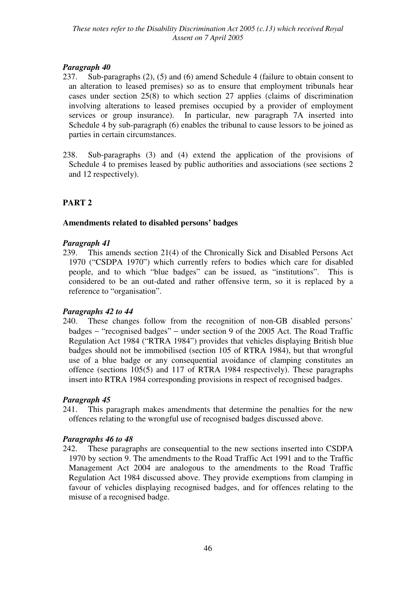- 237. Sub-paragraphs (2), (5) and (6) amend Schedule 4 (failure to obtain consent to an alteration to leased premises) so as to ensure that employment tribunals hear cases under section 25(8) to which section 27 applies (claims of discrimination involving alterations to leased premises occupied by a provider of employment services or group insurance). In particular, new paragraph 7A inserted into Schedule 4 by sub-paragraph (6) enables the tribunal to cause lessors to be joined as parties in certain circumstances.
- 238. Sub-paragraphs (3) and (4) extend the application of the provisions of Schedule 4 to premises leased by public authorities and associations (see sections 2 and 12 respectively).

## **PART 2**

## **Amendments related to disabled persons' badges**

#### *Paragraph 41*

239. This amends section 21(4) of the Chronically Sick and Disabled Persons Act 1970 ("CSDPA 1970") which currently refers to bodies which care for disabled people, and to which "blue badges" can be issued, as "institutions". This is considered to be an out-dated and rather offensive term, so it is replaced by a reference to "organisation".

## *Paragraphs 42 to 44*

240. These changes follow from the recognition of non-GB disabled persons' badges − "recognised badges" − under section 9 of the 2005 Act. The Road Traffic Regulation Act 1984 ("RTRA 1984") provides that vehicles displaying British blue badges should not be immobilised (section 105 of RTRA 1984), but that wrongful use of a blue badge or any consequential avoidance of clamping constitutes an offence (sections 105(5) and 117 of RTRA 1984 respectively). These paragraphs insert into RTRA 1984 corresponding provisions in respect of recognised badges.

## *Paragraph 45*

241. This paragraph makes amendments that determine the penalties for the new offences relating to the wrongful use of recognised badges discussed above.

#### *Paragraphs 46 to 48*

242. These paragraphs are consequential to the new sections inserted into CSDPA 1970 by section 9. The amendments to the Road Traffic Act 1991 and to the Traffic Management Act 2004 are analogous to the amendments to the Road Traffic Regulation Act 1984 discussed above. They provide exemptions from clamping in favour of vehicles displaying recognised badges, and for offences relating to the misuse of a recognised badge.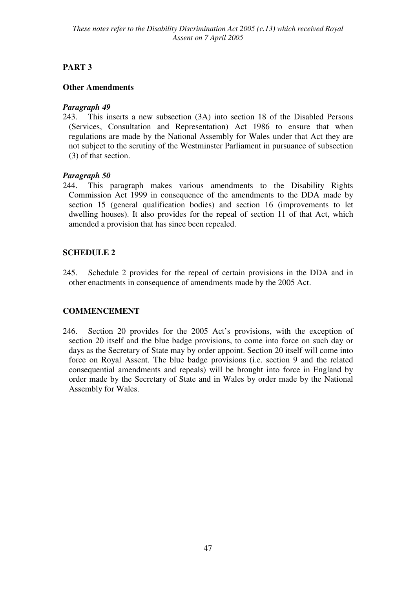## **PART 3**

## **Other Amendments**

## *Paragraph 49*

243. This inserts a new subsection (3A) into section 18 of the Disabled Persons (Services, Consultation and Representation) Act 1986 to ensure that when regulations are made by the National Assembly for Wales under that Act they are not subject to the scrutiny of the Westminster Parliament in pursuance of subsection (3) of that section.

## *Paragraph 50*

244. This paragraph makes various amendments to the Disability Rights Commission Act 1999 in consequence of the amendments to the DDA made by section 15 (general qualification bodies) and section 16 (improvements to let dwelling houses). It also provides for the repeal of section 11 of that Act, which amended a provision that has since been repealed.

## **SCHEDULE 2**

245. Schedule 2 provides for the repeal of certain provisions in the DDA and in other enactments in consequence of amendments made by the 2005 Act.

## **COMMENCEMENT**

246. Section 20 provides for the 2005 Act's provisions, with the exception of section 20 itself and the blue badge provisions, to come into force on such day or days as the Secretary of State may by order appoint. Section 20 itself will come into force on Royal Assent. The blue badge provisions (i.e. section 9 and the related consequential amendments and repeals) will be brought into force in England by order made by the Secretary of State and in Wales by order made by the National Assembly for Wales.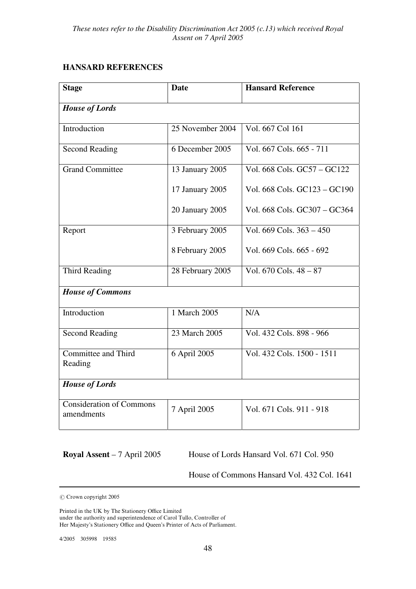## **HANSARD REFERENCES**

| <b>Stage</b>                                  | <b>Date</b>      | <b>Hansard Reference</b>            |
|-----------------------------------------------|------------------|-------------------------------------|
| <b>House of Lords</b>                         |                  |                                     |
| Introduction                                  | 25 November 2004 | Vol. 667 Col 161                    |
| <b>Second Reading</b>                         | 6 December 2005  | Vol. 667 Cols. 665 - 711            |
| <b>Grand Committee</b>                        | 13 January 2005  | Vol. 668 Cols. GC57 - GC122         |
|                                               | 17 January 2005  | Vol. 668 Cols. GC123 - GC190        |
|                                               | 20 January 2005  | Vol. 668 Cols. GC307 - GC364        |
| Report                                        | 3 February 2005  | Vol. $669$ Cols. $363 - 450$        |
|                                               | 8 February 2005  | Vol. 669 Cols. 665 - 692            |
| Third Reading                                 | 28 February 2005 | Vol. $670 \text{ Cols}$ , $48 - 87$ |
| <b>House of Commons</b>                       |                  |                                     |
| Introduction                                  | 1 March 2005     | N/A                                 |
| <b>Second Reading</b>                         | 23 March 2005    | Vol. 432 Cols. 898 - 966            |
| Committee and Third<br>Reading                | 6 April 2005     | Vol. 432 Cols. 1500 - 1511          |
| <b>House of Lords</b>                         |                  |                                     |
| <b>Consideration of Commons</b><br>amendments | 7 April 2005     | Vol. 671 Cols. 911 - 918            |

**Royal Assent** – 7 April 2005 House of Lords Hansard Vol. 671 Col. 950

House of Commons Hansard Vol. 432 Col. 1641

? Crown copyright 2005

Printed in the UK by The Stationery Office Limited under the authority and superintendence of Carol Tullo, Controller of Her Majesty's Stationery Office and Queen's Printer of Acts of Parliament.

4/2005 305998 19585